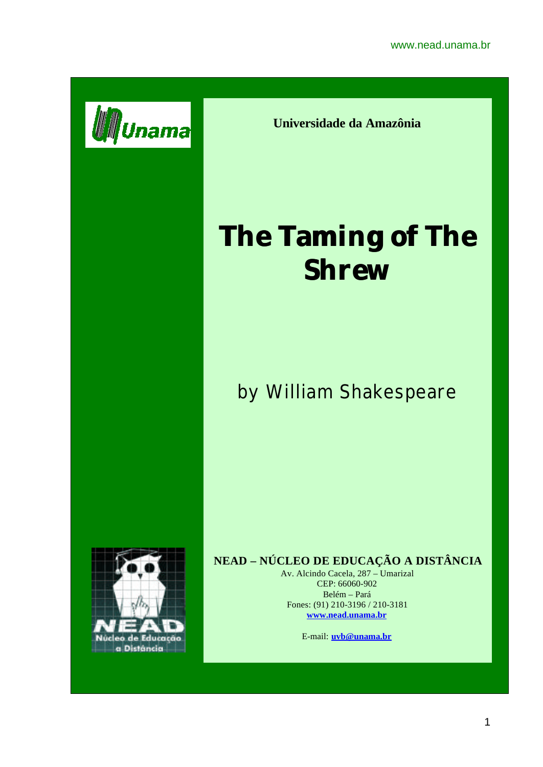

**Universidade da Amazônia**

# **The Taming of The Shrew**

# by William Shakespeare



# **NEAD – NÚCLEO DE EDUCAÇÃO A DISTÂNCIA**

Av. Alcindo Cacela, 287 – Umarizal CEP: 66060-902 Belém – Pará Fones: (91) 210-3196 / 210-3181 **www.nead.unama.br**

E-mail: **uvb@unama.br**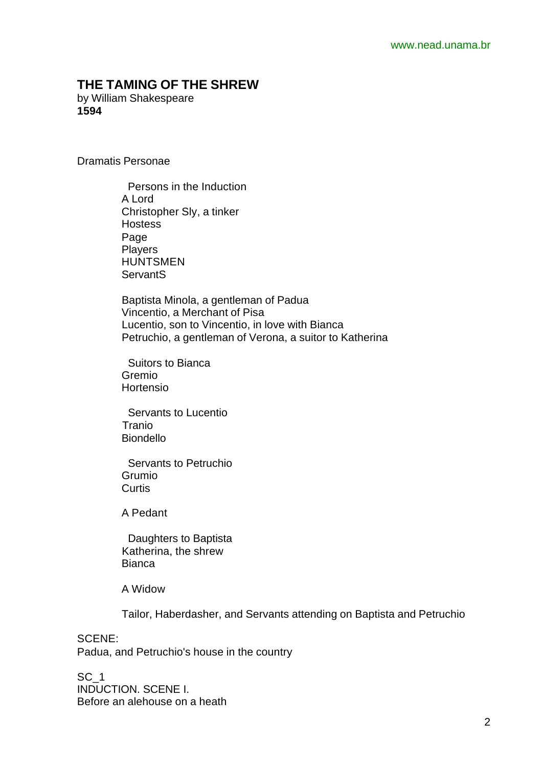## **THE TAMING OF THE SHREW**

by William Shakespeare **1594**

Dramatis Personae

 Persons in the Induction A Lord Christopher Sly, a tinker **Hostess**  Page **Players**  HUNTSMEN **ServantS** 

 Baptista Minola, a gentleman of Padua Vincentio, a Merchant of Pisa Lucentio, son to Vincentio, in love with Bianca Petruchio, a gentleman of Verona, a suitor to Katherina

 Suitors to Bianca Gremio Hortensio

 Servants to Lucentio Tranio Biondello

 Servants to Petruchio Grumio **Curtis** 

A Pedant

 Daughters to Baptista Katherina, the shrew Bianca

A Widow

Tailor, Haberdasher, and Servants attending on Baptista and Petruchio

SCENE: Padua, and Petruchio's house in the country

SC<sub>1</sub> INDUCTION. SCENE I. Before an alehouse on a heath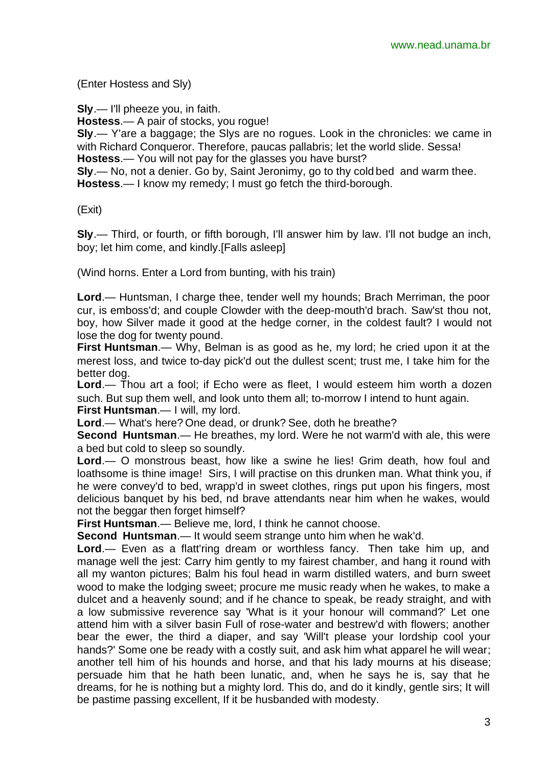(Enter Hostess and Sly)

**Sly**.— I'll pheeze you, in faith.

**Hostess**.— A pair of stocks, you rogue!

**Sly**.— Y'are a baggage; the Slys are no rogues. Look in the chronicles: we came in with Richard Conqueror. Therefore, paucas pallabris; let the world slide. Sessa! **Hostess**.— You will not pay for the glasses you have burst?

**Sly**.— No, not a denier. Go by, Saint Jeronimy, go to thy cold bed and warm thee. **Hostess**.— I know my remedy; I must go fetch the third-borough.

(Exit)

**Sly**.— Third, or fourth, or fifth borough, I'll answer him by law. I'll not budge an inch, boy; let him come, and kindly.[Falls asleep]

(Wind horns. Enter a Lord from bunting, with his train)

**Lord**.— Huntsman, I charge thee, tender well my hounds; Brach Merriman, the poor cur, is emboss'd; and couple Clowder with the deep-mouth'd brach. Saw'st thou not, boy, how Silver made it good at the hedge corner, in the coldest fault? I would not lose the dog for twenty pound.

**First Huntsman**.— Why, Belman is as good as he, my lord; he cried upon it at the merest loss, and twice to-day pick'd out the dullest scent; trust me, I take him for the better dog.

**Lord**.— Thou art a fool; if Echo were as fleet, I would esteem him worth a dozen such. But sup them well, and look unto them all; to-morrow I intend to hunt again. **First Huntsman**.— I will, my lord.

**Lord**.— What's here? One dead, or drunk? See, doth he breathe?

**Second Huntsman**.— He breathes, my lord. Were he not warm'd with ale, this were a bed but cold to sleep so soundly.

**Lord**.— O monstrous beast, how like a swine he lies! Grim death, how foul and loathsome is thine image! Sirs, I will practise on this drunken man. What think you, if he were convey'd to bed, wrapp'd in sweet clothes, rings put upon his fingers, most delicious banquet by his bed, nd brave attendants near him when he wakes, would not the beggar then forget himself?

**First Huntsman**.— Believe me, lord, I think he cannot choose.

**Second Huntsman**.— It would seem strange unto him when he wak'd.

**Lord**.— Even as a flatt'ring dream or worthless fancy. Then take him up, and manage well the jest: Carry him gently to my fairest chamber, and hang it round with all my wanton pictures; Balm his foul head in warm distilled waters, and burn sweet wood to make the lodging sweet; procure me music ready when he wakes, to make a dulcet and a heavenly sound; and if he chance to speak, be ready straight, and with a low submissive reverence say 'What is it your honour will command?' Let one attend him with a silver basin Full of rose-water and bestrew'd with flowers; another bear the ewer, the third a diaper, and say 'Will't please your lordship cool your hands?' Some one be ready with a costly suit, and ask him what apparel he will wear; another tell him of his hounds and horse, and that his lady mourns at his disease; persuade him that he hath been lunatic, and, when he says he is, say that he dreams, for he is nothing but a mighty lord. This do, and do it kindly, gentle sirs; It will be pastime passing excellent, If it be husbanded with modesty.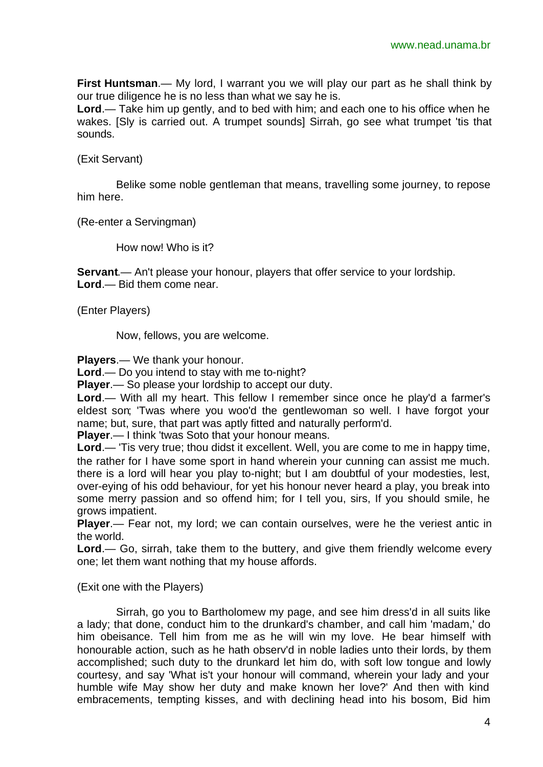**First Huntsman**.— My lord, I warrant you we will play our part as he shall think by our true diligence he is no less than what we say he is.

**Lord**.— Take him up gently, and to bed with him; and each one to his office when he wakes. [Sly is carried out. A trumpet sounds] Sirrah, go see what trumpet 'tis that sounds.

(Exit Servant)

Belike some noble gentleman that means, travelling some journey, to repose him here.

(Re-enter a Servingman)

How now! Who is it?

**Servant**.— An't please your honour, players that offer service to your lordship. **Lord**.— Bid them come near.

(Enter Players)

Now, fellows, you are welcome.

**Players**.— We thank your honour.

**Lord**.— Do you intend to stay with me to-night?

**Player**.— So please your lordship to accept our duty.

**Lord**.— With all my heart. This fellow I remember since once he play'd a farmer's eldest son; 'Twas where you woo'd the gentlewoman so well. I have forgot your name; but, sure, that part was aptly fitted and naturally perform'd.

**Player**.— I think 'twas Soto that your honour means.

**Lord**.— 'Tis very true; thou didst it excellent. Well, you are come to me in happy time, the rather for I have some sport in hand wherein your cunning can assist me much. there is a lord will hear you play to-night; but I am doubtful of your modesties, lest, over-eying of his odd behaviour, for yet his honour never heard a play, you break into some merry passion and so offend him; for I tell you, sirs, If you should smile, he grows impatient.

**Player**.— Fear not, my lord; we can contain ourselves, were he the veriest antic in the world.

**Lord**.— Go, sirrah, take them to the buttery, and give them friendly welcome every one; let them want nothing that my house affords.

(Exit one with the Players)

Sirrah, go you to Bartholomew my page, and see him dress'd in all suits like a lady; that done, conduct him to the drunkard's chamber, and call him 'madam,' do him obeisance. Tell him from me as he will win my love. He bear himself with honourable action, such as he hath observ'd in noble ladies unto their lords, by them accomplished; such duty to the drunkard let him do, with soft low tongue and lowly courtesy, and say 'What is't your honour will command, wherein your lady and your humble wife May show her duty and make known her love?' And then with kind embracements, tempting kisses, and with declining head into his bosom, Bid him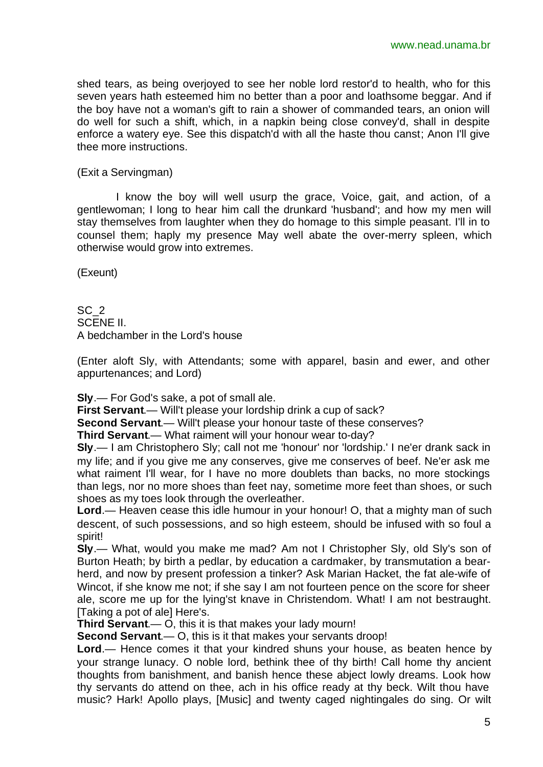shed tears, as being overjoyed to see her noble lord restor'd to health, who for this seven years hath esteemed him no better than a poor and loathsome beggar. And if the boy have not a woman's gift to rain a shower of commanded tears, an onion will do well for such a shift, which, in a napkin being close convey'd, shall in despite enforce a watery eye. See this dispatch'd with all the haste thou canst; Anon I'll give thee more instructions.

(Exit a Servingman)

I know the boy will well usurp the grace, Voice, gait, and action, of a gentlewoman; I long to hear him call the drunkard 'husband'; and how my men will stay themselves from laughter when they do homage to this simple peasant. I'll in to counsel them; haply my presence May well abate the over-merry spleen, which otherwise would grow into extremes.

(Exeunt)

SC<sub>2</sub> SCENE II. A bedchamber in the Lord's house

(Enter aloft Sly, with Attendants; some with apparel, basin and ewer, and other appurtenances; and Lord)

**Sly**.— For God's sake, a pot of small ale.

**First Servant**.— Will't please your lordship drink a cup of sack?

**Second Servant**.— Will't please your honour taste of these conserves?

**Third Servant**.— What raiment will your honour wear to-day?

**Sly**.— I am Christophero Sly; call not me 'honour' nor 'lordship.' I ne'er drank sack in my life; and if you give me any conserves, give me conserves of beef. Ne'er ask me what raiment I'll wear, for I have no more doublets than backs, no more stockings than legs, nor no more shoes than feet nay, sometime more feet than shoes, or such shoes as my toes look through the overleather.

**Lord**.— Heaven cease this idle humour in your honour! O, that a mighty man of such descent, of such possessions, and so high esteem, should be infused with so foul a spirit!

**Sly**.— What, would you make me mad? Am not I Christopher Sly, old Sly's son of Burton Heath; by birth a pedlar, by education a cardmaker, by transmutation a bearherd, and now by present profession a tinker? Ask Marian Hacket, the fat ale-wife of Wincot, if she know me not; if she say I am not fourteen pence on the score for sheer ale, score me up for the lying'st knave in Christendom. What! I am not bestraught. [Taking a pot of ale] Here's.

**Third Servant**.— O, this it is that makes your lady mourn!

**Second Servant**.— O, this is it that makes your servants droop!

**Lord**.— Hence comes it that your kindred shuns your house, as beaten hence by your strange lunacy. O noble lord, bethink thee of thy birth! Call home thy ancient thoughts from banishment, and banish hence these abject lowly dreams. Look how thy servants do attend on thee, ach in his office ready at thy beck. Wilt thou have music? Hark! Apollo plays, [Music] and twenty caged nightingales do sing. Or wilt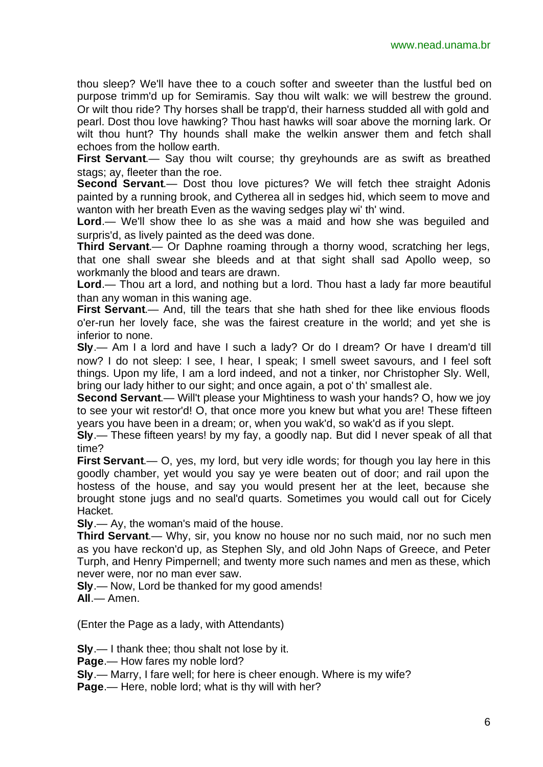thou sleep? We'll have thee to a couch softer and sweeter than the lustful bed on purpose trimm'd up for Semiramis. Say thou wilt walk: we will bestrew the ground. Or wilt thou ride? Thy horses shall be trapp'd, their harness studded all with gold and pearl. Dost thou love hawking? Thou hast hawks will soar above the morning lark. Or wilt thou hunt? Thy hounds shall make the welkin answer them and fetch shall echoes from the hollow earth.

**First Servant**.— Say thou wilt course; thy greyhounds are as swift as breathed stags; ay, fleeter than the roe.

**Second Servant.**— Dost thou love pictures? We will fetch thee straight Adonis painted by a running brook, and Cytherea all in sedges hid, which seem to move and wanton with her breath Even as the waving sedges play wi' th' wind.

Lord.— We'll show thee lo as she was a maid and how she was beguiled and surpris'd, as lively painted as the deed was done.

**Third Servant**.— Or Daphne roaming through a thorny wood, scratching her legs, that one shall swear she bleeds and at that sight shall sad Apollo weep, so workmanly the blood and tears are drawn.

**Lord**.— Thou art a lord, and nothing but a lord. Thou hast a lady far more beautiful than any woman in this waning age.

**First Servant**.— And, till the tears that she hath shed for thee like envious floods o'er-run her lovely face, she was the fairest creature in the world; and yet she is inferior to none.

**Sly**.— Am I a lord and have I such a lady? Or do I dream? Or have I dream'd till now? I do not sleep: I see, I hear, I speak; I smell sweet savours, and I feel soft things. Upon my life, I am a lord indeed, and not a tinker, nor Christopher Sly. Well, bring our lady hither to our sight; and once again, a pot o' th' smallest ale.

**Second Servant.**— Will't please your Mightiness to wash your hands? O, how we joy to see your wit restor'd! O, that once more you knew but what you are! These fifteen years you have been in a dream; or, when you wak'd, so wak'd as if you slept.

**Sly**.— These fifteen years! by my fay, a goodly nap. But did I never speak of all that time?

**First Servant**.— O, yes, my lord, but very idle words; for though you lay here in this goodly chamber, yet would you say ye were beaten out of door; and rail upon the hostess of the house, and say you would present her at the leet, because she brought stone jugs and no seal'd quarts. Sometimes you would call out for Cicely Hacket.

**Sly**.— Ay, the woman's maid of the house.

**Third Servant**.— Why, sir, you know no house nor no such maid, nor no such men as you have reckon'd up, as Stephen Sly, and old John Naps of Greece, and Peter Turph, and Henry Pimpernell; and twenty more such names and men as these, which never were, nor no man ever saw.

**Sly**.— Now, Lord be thanked for my good amends!

**All**.— Amen.

(Enter the Page as a lady, with Attendants)

**Sly**.— I thank thee; thou shalt not lose by it.

**Page**.— How fares my noble lord?

**Sly**.— Marry, I fare well; for here is cheer enough. Where is my wife?

**Page**.— Here, noble lord; what is thy will with her?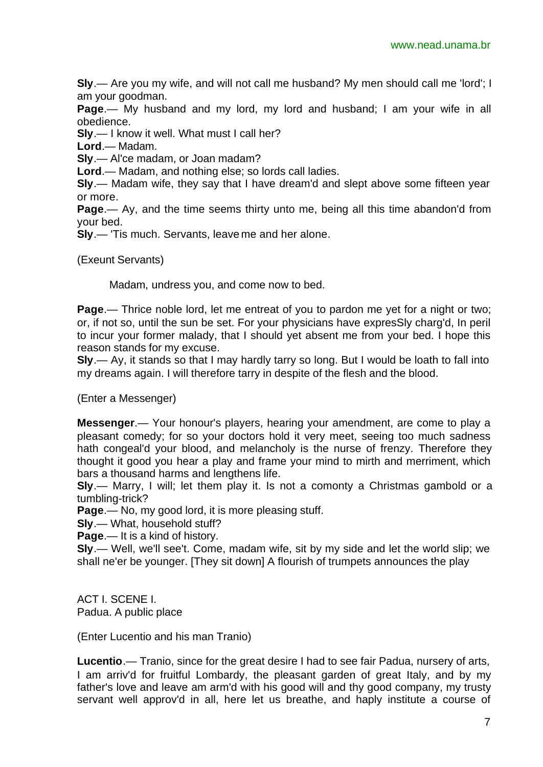**Sly**.— Are you my wife, and will not call me husband? My men should call me 'lord'; I am your goodman.

**Page**.— My husband and my lord, my lord and husband; I am your wife in all obedience.

**Sly**.— I know it well. What must I call her?

**Lord**.— Madam.

**Sly**.— Al'ce madam, or Joan madam?

**Lord**.— Madam, and nothing else; so lords call ladies.

**Sly**.— Madam wife, they say that I have dream'd and slept above some fifteen year or more.

**Page**.— Ay, and the time seems thirty unto me, being all this time abandon'd from your bed.

**Sly**.— 'Tis much. Servants, leave me and her alone.

(Exeunt Servants)

Madam, undress you, and come now to bed.

**Page**.— Thrice noble lord, let me entreat of you to pardon me yet for a night or two; or, if not so, until the sun be set. For your physicians have expresSly charg'd, In peril to incur your former malady, that I should yet absent me from your bed. I hope this reason stands for my excuse.

**Sly**.— Ay, it stands so that I may hardly tarry so long. But I would be loath to fall into my dreams again. I will therefore tarry in despite of the flesh and the blood.

(Enter a Messenger)

**Messenger**.— Your honour's players, hearing your amendment, are come to play a pleasant comedy; for so your doctors hold it very meet, seeing too much sadness hath congeal'd your blood, and melancholy is the nurse of frenzy. Therefore they thought it good you hear a play and frame your mind to mirth and merriment, which bars a thousand harms and lengthens life.

**Sly**.— Marry, I will; let them play it. Is not a comonty a Christmas gambold or a tumbling-trick?

**Page**.— No, my good lord, it is more pleasing stuff.

**Sly**.— What, household stuff?

**Page**.— It is a kind of history.

**Sly**.— Well, we'll see't. Come, madam wife, sit by my side and let the world slip; we shall ne'er be younger. [They sit down] A flourish of trumpets announces the play

ACT I. SCENE I. Padua. A public place

(Enter Lucentio and his man Tranio)

**Lucentio**.— Tranio, since for the great desire I had to see fair Padua, nursery of arts, I am arriv'd for fruitful Lombardy, the pleasant garden of great Italy, and by my father's love and leave am arm'd with his good will and thy good company, my trusty servant well approv'd in all, here let us breathe, and haply institute a course of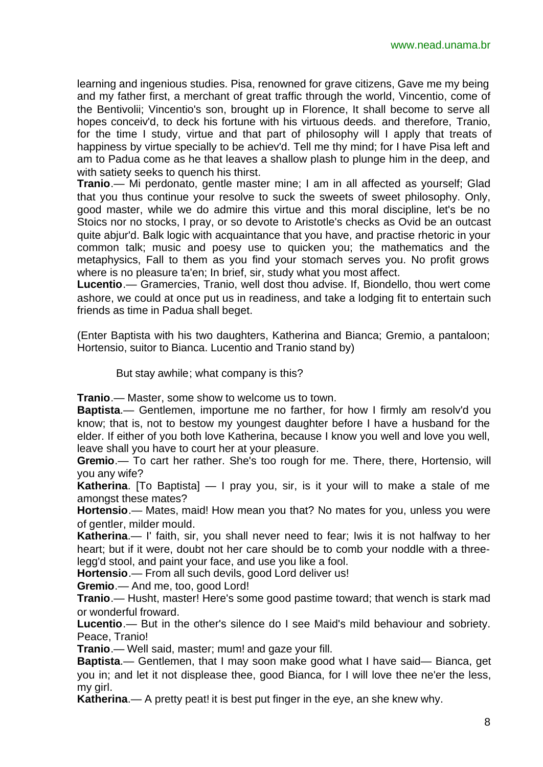learning and ingenious studies. Pisa, renowned for grave citizens, Gave me my being and my father first, a merchant of great traffic through the world, Vincentio, come of the Bentivolii; Vincentio's son, brought up in Florence, It shall become to serve all hopes conceiv'd, to deck his fortune with his virtuous deeds. and therefore, Tranio, for the time I study, virtue and that part of philosophy will I apply that treats of happiness by virtue specially to be achiev'd. Tell me thy mind; for I have Pisa left and am to Padua come as he that leaves a shallow plash to plunge him in the deep, and with satiety seeks to quench his thirst.

**Tranio**.— Mi perdonato, gentle master mine; I am in all affected as yourself; Glad that you thus continue your resolve to suck the sweets of sweet philosophy. Only, good master, while we do admire this virtue and this moral discipline, let's be no Stoics nor no stocks, I pray, or so devote to Aristotle's checks as Ovid be an outcast quite abjur'd. Balk logic with acquaintance that you have, and practise rhetoric in your common talk; music and poesy use to quicken you; the mathematics and the metaphysics, Fall to them as you find your stomach serves you. No profit grows where is no pleasure ta'en; In brief, sir, study what you most affect.

**Lucentio**.— Gramercies, Tranio, well dost thou advise. If, Biondello, thou wert come ashore, we could at once put us in readiness, and take a lodging fit to entertain such friends as time in Padua shall beget.

(Enter Baptista with his two daughters, Katherina and Bianca; Gremio, a pantaloon; Hortensio, suitor to Bianca. Lucentio and Tranio stand by)

But stay awhile; what company is this?

**Tranio**.— Master, some show to welcome us to town.

**Baptista**.— Gentlemen, importune me no farther, for how I firmly am resolv'd you know; that is, not to bestow my youngest daughter before I have a husband for the elder. If either of you both love Katherina, because I know you well and love you well, leave shall you have to court her at your pleasure.

**Gremio**.— To cart her rather. She's too rough for me. There, there, Hortensio, will you any wife?

**Katherina**. [To Baptista] — I pray you, sir, is it your will to make a stale of me amongst these mates?

**Hortensio**.— Mates, maid! How mean you that? No mates for you, unless you were of gentler, milder mould.

**Katherina**.— I' faith, sir, you shall never need to fear; Iwis it is not halfway to her heart; but if it were, doubt not her care should be to comb your noddle with a threelegg'd stool, and paint your face, and use you like a fool.

**Hortensio**.— From all such devils, good Lord deliver us!

**Gremio**.— And me, too, good Lord!

**Tranio**.— Husht, master! Here's some good pastime toward; that wench is stark mad or wonderful froward.

**Lucentio**.— But in the other's silence do I see Maid's mild behaviour and sobriety. Peace, Tranio!

**Tranio**.— Well said, master; mum! and gaze your fill.

**Baptista**.— Gentlemen, that I may soon make good what I have said— Bianca, get you in; and let it not displease thee, good Bianca, for I will love thee ne'er the less, my girl.

**Katherina.**— A pretty peat! it is best put finger in the eye, an she knew why.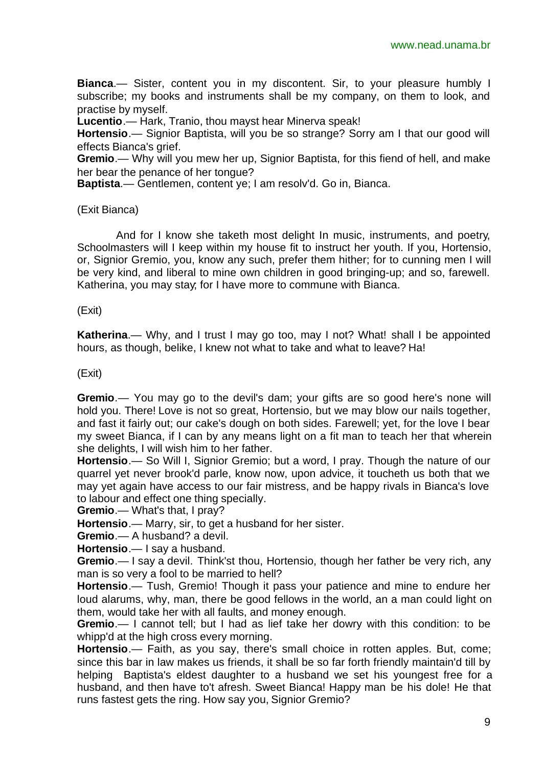**Bianca**.— Sister, content you in my discontent. Sir, to your pleasure humbly I subscribe; my books and instruments shall be my company, on them to look, and practise by myself.

**Lucentio**.— Hark, Tranio, thou mayst hear Minerva speak!

**Hortensio**.— Signior Baptista, will you be so strange? Sorry am I that our good will effects Bianca's grief.

**Gremio**.— Why will you mew her up, Signior Baptista, for this fiend of hell, and make her bear the penance of her tongue?

**Baptista**.— Gentlemen, content ye; I am resolv'd. Go in, Bianca.

#### (Exit Bianca)

And for I know she taketh most delight In music, instruments, and poetry, Schoolmasters will I keep within my house fit to instruct her youth. If you, Hortensio, or, Signior Gremio, you, know any such, prefer them hither; for to cunning men I will be very kind, and liberal to mine own children in good bringing-up; and so, farewell. Katherina, you may stay; for I have more to commune with Bianca.

(Exit)

**Katherina**.— Why, and I trust I may go too, may I not? What! shall I be appointed hours, as though, belike, I knew not what to take and what to leave? Ha!

(Exit)

**Gremio**.— You may go to the devil's dam; your gifts are so good here's none will hold you. There! Love is not so great, Hortensio, but we may blow our nails together, and fast it fairly out; our cake's dough on both sides. Farewell; yet, for the love I bear my sweet Bianca, if I can by any means light on a fit man to teach her that wherein she delights, I will wish him to her father.

**Hortensio**.— So Will I, Signior Gremio; but a word, I pray. Though the nature of our quarrel yet never brook'd parle, know now, upon advice, it toucheth us both that we may yet again have access to our fair mistress, and be happy rivals in Bianca's love to labour and effect one thing specially.

**Gremio**.— What's that, I pray?

**Hortensio**.— Marry, sir, to get a husband for her sister.

**Gremio**.— A husband? a devil.

**Hortensio**.— I say a husband.

**Gremio**.— I say a devil. Think'st thou, Hortensio, though her father be very rich, any man is so very a fool to be married to hell?

**Hortensio**.— Tush, Gremio! Though it pass your patience and mine to endure her loud alarums, why, man, there be good fellows in the world, an a man could light on them, would take her with all faults, and money enough.

**Gremio**.— I cannot tell; but I had as lief take her dowry with this condition: to be whipp'd at the high cross every morning.

**Hortensio**.— Faith, as you say, there's small choice in rotten apples. But, come; since this bar in law makes us friends, it shall be so far forth friendly maintain'd till by helping Baptista's eldest daughter to a husband we set his youngest free for a husband, and then have to't afresh. Sweet Bianca! Happy man be his dole! He that runs fastest gets the ring. How say you, Signior Gremio?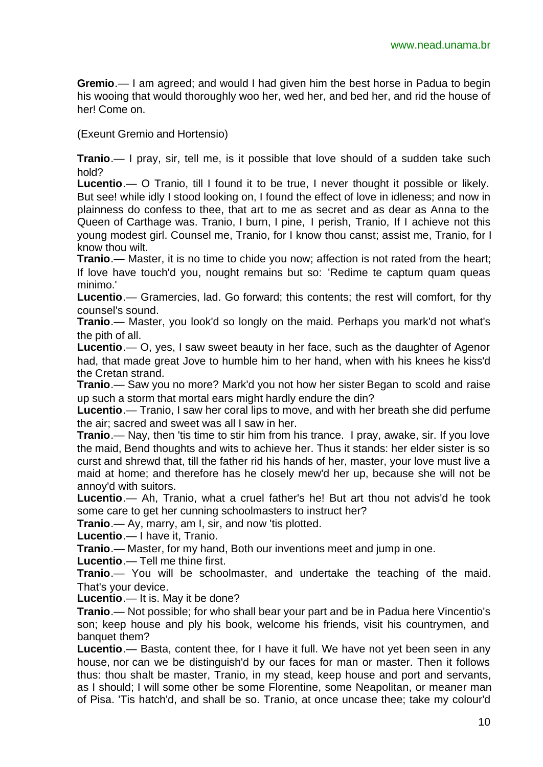**Gremio**.— I am agreed; and would I had given him the best horse in Padua to begin his wooing that would thoroughly woo her, wed her, and bed her, and rid the house of her! Come on.

(Exeunt Gremio and Hortensio)

**Tranio**.— I pray, sir, tell me, is it possible that love should of a sudden take such hold?

**Lucentio**.— O Tranio, till I found it to be true, I never thought it possible or likely. But see! while idly I stood looking on, I found the effect of love in idleness; and now in plainness do confess to thee, that art to me as secret and as dear as Anna to the Queen of Carthage was. Tranio, I burn, I pine, I perish, Tranio, If I achieve not this young modest girl. Counsel me, Tranio, for I know thou canst; assist me, Tranio, for I know thou wilt.

**Tranio**.— Master, it is no time to chide you now; affection is not rated from the heart; If love have touch'd you, nought remains but so: 'Redime te captum quam queas minimo.'

**Lucentio**.— Gramercies, lad. Go forward; this contents; the rest will comfort, for thy counsel's sound.

**Tranio**.— Master, you look'd so longly on the maid. Perhaps you mark'd not what's the pith of all.

**Lucentio**.— O, yes, I saw sweet beauty in her face, such as the daughter of Agenor had, that made great Jove to humble him to her hand, when with his knees he kiss'd the Cretan strand.

**Tranio**.— Saw you no more? Mark'd you not how her sister Began to scold and raise up such a storm that mortal ears might hardly endure the din?

**Lucentio**.— Tranio, I saw her coral lips to move, and with her breath she did perfume the air; sacred and sweet was all I saw in her.

**Tranio**.— Nay, then 'tis time to stir him from his trance. I pray, awake, sir. If you love the maid, Bend thoughts and wits to achieve her. Thus it stands: her elder sister is so curst and shrewd that, till the father rid his hands of her, master, your love must live a maid at home; and therefore has he closely mew'd her up, because she will not be annoy'd with suitors.

**Lucentio**.— Ah, Tranio, what a cruel father's he! But art thou not advis'd he took some care to get her cunning schoolmasters to instruct her?

**Tranio.**— Ay, marry, am I, sir, and now 'tis plotted.

**Lucentio**.— I have it, Tranio.

**Tranio**.— Master, for my hand, Both our inventions meet and jump in one.

**Lucentio**.— Tell me thine first.

**Tranio**.— You will be schoolmaster, and undertake the teaching of the maid. That's your device.

**Lucentio**.— It is. May it be done?

**Tranio**.— Not possible; for who shall bear your part and be in Padua here Vincentio's son; keep house and ply his book, welcome his friends, visit his countrymen, and banquet them?

**Lucentio**.— Basta, content thee, for I have it full. We have not yet been seen in any house, nor can we be distinguish'd by our faces for man or master. Then it follows thus: thou shalt be master, Tranio, in my stead, keep house and port and servants, as I should; I will some other be some Florentine, some Neapolitan, or meaner man of Pisa. 'Tis hatch'd, and shall be so. Tranio, at once uncase thee; take my colour'd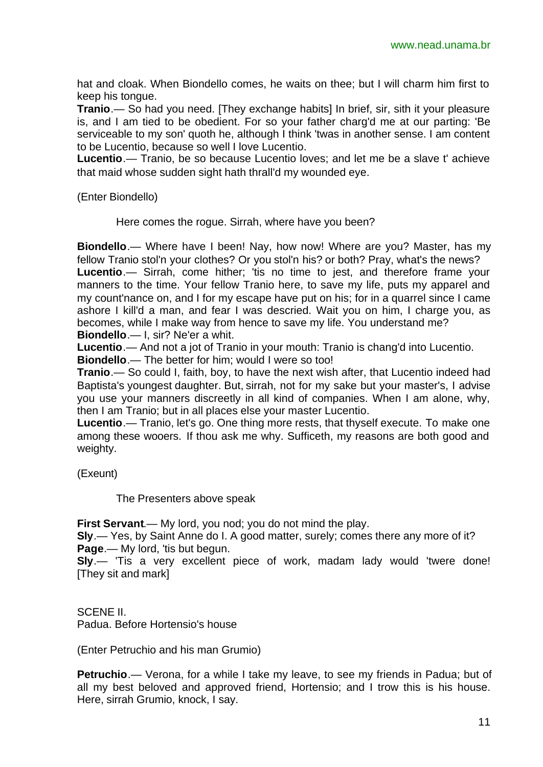hat and cloak. When Biondello comes, he waits on thee; but I will charm him first to keep his tongue.

**Tranio**.— So had you need. [They exchange habits] In brief, sir, sith it your pleasure is, and I am tied to be obedient. For so your father charg'd me at our parting: 'Be serviceable to my son' quoth he, although I think 'twas in another sense. I am content to be Lucentio, because so well I love Lucentio.

**Lucentio**.— Tranio, be so because Lucentio loves; and let me be a slave t' achieve that maid whose sudden sight hath thrall'd my wounded eye.

(Enter Biondello)

Here comes the rogue. Sirrah, where have you been?

**Biondello**.— Where have I been! Nay, how now! Where are you? Master, has my fellow Tranio stol'n your clothes? Or you stol'n his? or both? Pray, what's the news? Lucentio.— Sirrah, come hither; 'tis no time to jest, and therefore frame your manners to the time. Your fellow Tranio here, to save my life, puts my apparel and my count'nance on, and I for my escape have put on his; for in a quarrel since I came ashore I kill'd a man, and fear I was descried. Wait you on him, I charge you, as becomes, while I make way from hence to save my life. You understand me? **Biondello**.— I, sir? Ne'er a whit.

**Lucentio**.— And not a jot of Tranio in your mouth: Tranio is chang'd into Lucentio.

**Biondello**.— The better for him; would I were so too!

**Tranio**.— So could I, faith, boy, to have the next wish after, that Lucentio indeed had Baptista's youngest daughter. But, sirrah, not for my sake but your master's, I advise you use your manners discreetly in all kind of companies. When I am alone, why, then I am Tranio; but in all places else your master Lucentio.

**Lucentio**.— Tranio, let's go. One thing more rests, that thyself execute. To make one among these wooers. If thou ask me why. Sufficeth, my reasons are both good and weighty.

(Exeunt)

The Presenters above speak

**First Servant**.— My lord, you nod; you do not mind the play.

**Sly**.— Yes, by Saint Anne do I. A good matter, surely; comes there any more of it? **Page.**— My lord, 'tis but begun.

**Sly**.— 'Tis a very excellent piece of work, madam lady would 'twere done! [They sit and mark]

SCENE II. Padua. Before Hortensio's house

(Enter Petruchio and his man Grumio)

**Petruchio**.— Verona, for a while I take my leave, to see my friends in Padua; but of all my best beloved and approved friend, Hortensio; and I trow this is his house. Here, sirrah Grumio, knock, I say.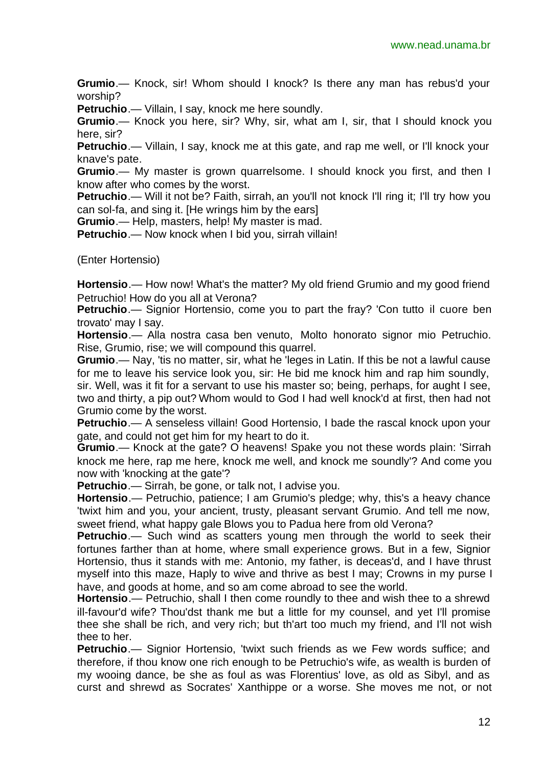**Grumio**.— Knock, sir! Whom should I knock? Is there any man has rebus'd your worship?

**Petruchio**.— Villain, I say, knock me here soundly.

**Grumio**.— Knock you here, sir? Why, sir, what am I, sir, that I should knock you here, sir?

**Petruchio**.— Villain, I say, knock me at this gate, and rap me well, or I'll knock your knave's pate.

**Grumio**.— My master is grown quarrelsome. I should knock you first, and then I know after who comes by the worst.

**Petruchio.**— Will it not be? Faith, sirrah, an you'll not knock I'll ring it; I'll try how you can sol-fa, and sing it. [He wrings him by the ears]

**Grumio**.— Help, masters, help! My master is mad.

**Petruchio**.— Now knock when I bid you, sirrah villain!

(Enter Hortensio)

**Hortensio**.— How now! What's the matter? My old friend Grumio and my good friend Petruchio! How do you all at Verona?

**Petruchio**.— Signior Hortensio, come you to part the fray? 'Con tutto il cuore ben trovato' may I say.

**Hortensio**.— Alla nostra casa ben venuto, Molto honorato signor mio Petruchio. Rise, Grumio, rise; we will compound this quarrel.

**Grumio**.— Nay, 'tis no matter, sir, what he 'leges in Latin. If this be not a lawful cause for me to leave his service look you, sir: He bid me knock him and rap him soundly,

sir. Well, was it fit for a servant to use his master so; being, perhaps, for aught I see, two and thirty, a pip out? Whom would to God I had well knock'd at first, then had not Grumio come by the worst.

**Petruchio**.— A senseless villain! Good Hortensio, I bade the rascal knock upon your gate, and could not get him for my heart to do it.

**Grumio**.— Knock at the gate? O heavens! Spake you not these words plain: 'Sirrah knock me here, rap me here, knock me well, and knock me soundly'? And come you now with 'knocking at the gate'?

**Petruchio**.— Sirrah, be gone, or talk not, I advise you.

**Hortensio**.— Petruchio, patience; I am Grumio's pledge; why, this's a heavy chance 'twixt him and you, your ancient, trusty, pleasant servant Grumio. And tell me now, sweet friend, what happy gale Blows you to Padua here from old Verona?

**Petruchio**.— Such wind as scatters young men through the world to seek their fortunes farther than at home, where small experience grows. But in a few, Signior Hortensio, thus it stands with me: Antonio, my father, is deceas'd, and I have thrust myself into this maze, Haply to wive and thrive as best I may; Crowns in my purse I have, and goods at home, and so am come abroad to see the world.

**Hortensio**.— Petruchio, shall I then come roundly to thee and wish thee to a shrewd ill-favour'd wife? Thou'dst thank me but a little for my counsel, and yet I'll promise thee she shall be rich, and very rich; but th'art too much my friend, and I'll not wish thee to her.

**Petruchio**.— Signior Hortensio, 'twixt such friends as we Few words suffice; and therefore, if thou know one rich enough to be Petruchio's wife, as wealth is burden of my wooing dance, be she as foul as was Florentius' love, as old as Sibyl, and as curst and shrewd as Socrates' Xanthippe or a worse. She moves me not, or not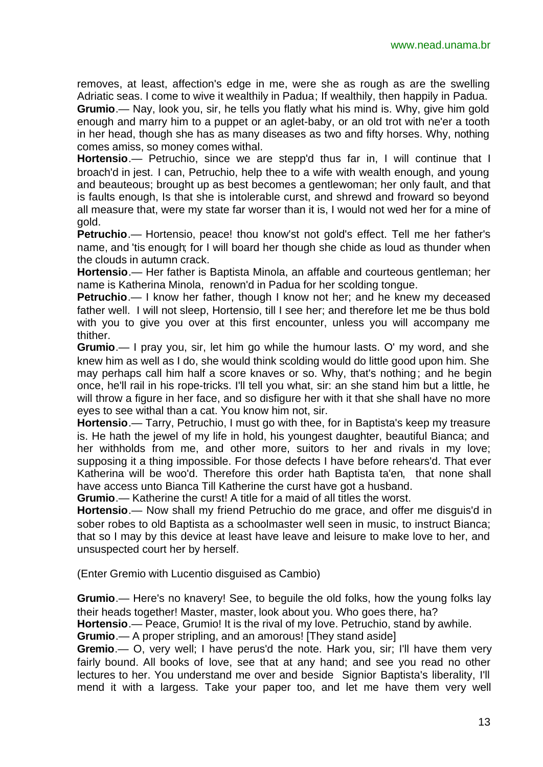removes, at least, affection's edge in me, were she as rough as are the swelling Adriatic seas. I come to wive it wealthily in Padua; If wealthily, then happily in Padua. **Grumio**.— Nay, look you, sir, he tells you flatly what his mind is. Why, give him gold enough and marry him to a puppet or an aglet-baby, or an old trot with ne'er a tooth in her head, though she has as many diseases as two and fifty horses. Why, nothing comes amiss, so money comes withal.

**Hortensio**.— Petruchio, since we are stepp'd thus far in, I will continue that I broach'd in jest. I can, Petruchio, help thee to a wife with wealth enough, and young and beauteous; brought up as best becomes a gentlewoman; her only fault, and that is faults enough, Is that she is intolerable curst, and shrewd and froward so beyond all measure that, were my state far worser than it is, I would not wed her for a mine of gold.

**Petruchio**.— Hortensio, peace! thou know'st not gold's effect. Tell me her father's name, and 'tis enough; for I will board her though she chide as loud as thunder when the clouds in autumn crack.

**Hortensio**.— Her father is Baptista Minola, an affable and courteous gentleman; her name is Katherina Minola, renown'd in Padua for her scolding tongue.

**Petruchio**.— I know her father, though I know not her; and he knew my deceased father well. I will not sleep, Hortensio, till I see her; and therefore let me be thus bold with you to give you over at this first encounter, unless you will accompany me thither.

**Grumio**.— I pray you, sir, let him go while the humour lasts. O' my word, and she knew him as well as I do, she would think scolding would do little good upon him. She may perhaps call him half a score knaves or so. Why, that's nothing; and he begin once, he'll rail in his rope-tricks. I'll tell you what, sir: an she stand him but a little, he will throw a figure in her face, and so disfigure her with it that she shall have no more eyes to see withal than a cat. You know him not, sir.

**Hortensio**.— Tarry, Petruchio, I must go with thee, for in Baptista's keep my treasure is. He hath the jewel of my life in hold, his youngest daughter, beautiful Bianca; and her withholds from me, and other more, suitors to her and rivals in my love; supposing it a thing impossible. For those defects I have before rehears'd. That ever Katherina will be woo'd. Therefore this order hath Baptista ta'en, that none shall have access unto Bianca Till Katherine the curst have got a husband.

**Grumio**.— Katherine the curst! A title for a maid of all titles the worst.

**Hortensio**.— Now shall my friend Petruchio do me grace, and offer me disguis'd in sober robes to old Baptista as a schoolmaster well seen in music, to instruct Bianca; that so I may by this device at least have leave and leisure to make love to her, and unsuspected court her by herself.

(Enter Gremio with Lucentio disguised as Cambio)

**Grumio**.— Here's no knavery! See, to beguile the old folks, how the young folks lay their heads together! Master, master, look about you. Who goes there, ha?

**Hortensio**.— Peace, Grumio! It is the rival of my love. Petruchio, stand by awhile.

**Grumio**.— A proper stripling, and an amorous! [They stand aside]

**Gremio**.— O, very well; I have perus'd the note. Hark you, sir; I'll have them very fairly bound. All books of love, see that at any hand; and see you read no other lectures to her. You understand me over and beside Signior Baptista's liberality, I'll mend it with a largess. Take your paper too, and let me have them very well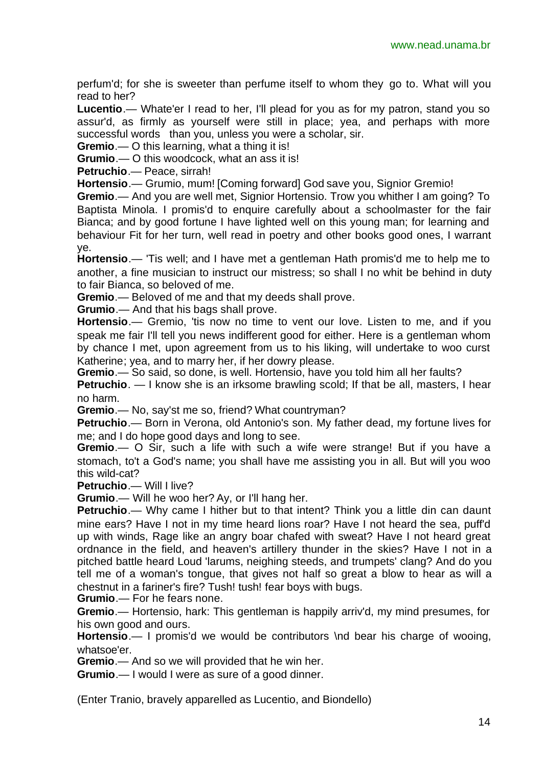perfum'd; for she is sweeter than perfume itself to whom they go to. What will you read to her?

**Lucentio**.— Whate'er I read to her, I'll plead for you as for my patron, stand you so assur'd, as firmly as yourself were still in place; yea, and perhaps with more successful words than you, unless you were a scholar, sir.

**Gremio**.— O this learning, what a thing it is!

**Grumio**.— O this woodcock, what an ass it is!

**Petruchio**.— Peace, sirrah!

**Hortensio**.— Grumio, mum! [Coming forward] God save you, Signior Gremio!

**Gremio**.— And you are well met, Signior Hortensio. Trow you whither I am going? To Baptista Minola. I promis'd to enquire carefully about a schoolmaster for the fair Bianca; and by good fortune I have lighted well on this young man; for learning and behaviour Fit for her turn, well read in poetry and other books good ones, I warrant ye.

**Hortensio**.— 'Tis well; and I have met a gentleman Hath promis'd me to help me to another, a fine musician to instruct our mistress; so shall I no whit be behind in duty to fair Bianca, so beloved of me.

**Gremio**.— Beloved of me and that my deeds shall prove.

**Grumio**.— And that his bags shall prove.

**Hortensio**.— Gremio, 'tis now no time to vent our love. Listen to me, and if you speak me fair I'll tell you news indifferent good for either. Here is a gentleman whom by chance I met, upon agreement from us to his liking, will undertake to woo curst Katherine; yea, and to marry her, if her dowry please.

**Gremio**.— So said, so done, is well. Hortensio, have you told him all her faults?

**Petruchio**. — I know she is an irksome brawling scold; If that be all, masters, I hear no harm.

**Gremio**.— No, say'st me so, friend? What countryman?

**Petruchio**.— Born in Verona, old Antonio's son. My father dead, my fortune lives for me; and I do hope good days and long to see.

**Gremio**.— O Sir, such a life with such a wife were strange! But if you have a stomach, to't a God's name; you shall have me assisting you in all. But will you woo this wild-cat?

**Petruchio.**— Will I live?

**Grumio**.— Will he woo her? Ay, or I'll hang her.

**Petruchio.**— Why came I hither but to that intent? Think you a little din can daunt mine ears? Have I not in my time heard lions roar? Have I not heard the sea, puff'd up with winds, Rage like an angry boar chafed with sweat? Have I not heard great ordnance in the field, and heaven's artillery thunder in the skies? Have I not in a pitched battle heard Loud 'larums, neighing steeds, and trumpets' clang? And do you tell me of a woman's tongue, that gives not half so great a blow to hear as will a chestnut in a fariner's fire? Tush! tush! fear boys with bugs.

**Grumio**.— For he fears none.

**Gremio**.— Hortensio, hark: This gentleman is happily arriv'd, my mind presumes, for his own good and ours.

**Hortensio**.— I promis'd we would be contributors \nd bear his charge of wooing, whatsoe'er.

**Gremio**.— And so we will provided that he win her.

**Grumio**.— I would I were as sure of a good dinner.

(Enter Tranio, bravely apparelled as Lucentio, and Biondello)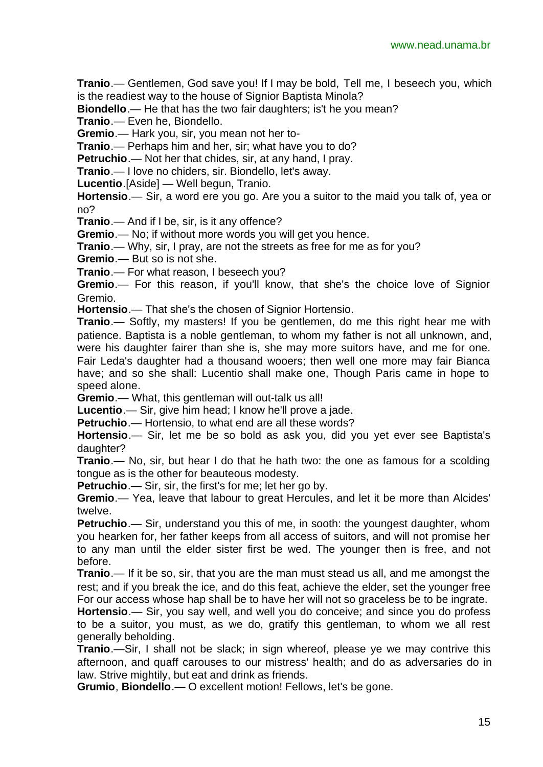**Tranio**.— Gentlemen, God save you! If I may be bold, Tell me, I beseech you, which is the readiest way to the house of Signior Baptista Minola?

**Biondello**.— He that has the two fair daughters; is't he you mean?

**Tranio**.— Even he, Biondello.

**Gremio**.— Hark you, sir, you mean not her to-

**Tranio**.— Perhaps him and her, sir; what have you to do?

**Petruchio**.— Not her that chides, sir, at any hand, I pray.

**Tranio**.— I love no chiders, sir. Biondello, let's away.

**Lucentio**.[Aside] — Well begun, Tranio.

**Hortensio**.— Sir, a word ere you go. Are you a suitor to the maid you talk of, yea or no?

**Tranio**.— And if I be, sir, is it any offence?

**Gremio**.— No; if without more words you will get you hence.

**Tranio**.— Why, sir, I pray, are not the streets as free for me as for you?

**Gremio**.— But so is not she.

**Tranio**.— For what reason, I beseech you?

**Gremio**.— For this reason, if you'll know, that she's the choice love of Signior Gremio.

**Hortensio**.— That she's the chosen of Signior Hortensio.

**Tranio**.— Softly, my masters! If you be gentlemen, do me this right hear me with patience. Baptista is a noble gentleman, to whom my father is not all unknown, and, were his daughter fairer than she is, she may more suitors have, and me for one. Fair Leda's daughter had a thousand wooers; then well one more may fair Bianca have; and so she shall: Lucentio shall make one, Though Paris came in hope to speed alone.

**Gremio**.— What, this gentleman will out-talk us all!

**Lucentio**.— Sir, give him head; I know he'll prove a jade.

**Petruchio**.— Hortensio, to what end are all these words?

**Hortensio**.— Sir, let me be so bold as ask you, did you yet ever see Baptista's daughter?

**Tranio**.— No, sir, but hear I do that he hath two: the one as famous for a scolding tongue as is the other for beauteous modesty.

**Petruchio**.— Sir, sir, the first's for me; let her go by.

**Gremio**.— Yea, leave that labour to great Hercules, and let it be more than Alcides' twelve.

**Petruchio**.— Sir, understand you this of me, in sooth: the youngest daughter, whom you hearken for, her father keeps from all access of suitors, and will not promise her to any man until the elder sister first be wed. The younger then is free, and not before.

**Tranio**.— If it be so, sir, that you are the man must stead us all, and me amongst the rest; and if you break the ice, and do this feat, achieve the elder, set the younger free For our access whose hap shall be to have her will not so graceless be to be ingrate.

**Hortensio**.— Sir, you say well, and well you do conceive; and since you do profess to be a suitor, you must, as we do, gratify this gentleman, to whom we all rest generally beholding.

**Tranio**.—Sir, I shall not be slack; in sign whereof, please ye we may contrive this afternoon, and quaff carouses to our mistress' health; and do as adversaries do in law. Strive mightily, but eat and drink as friends.

**Grumio**, **Biondello**.— O excellent motion! Fellows, let's be gone.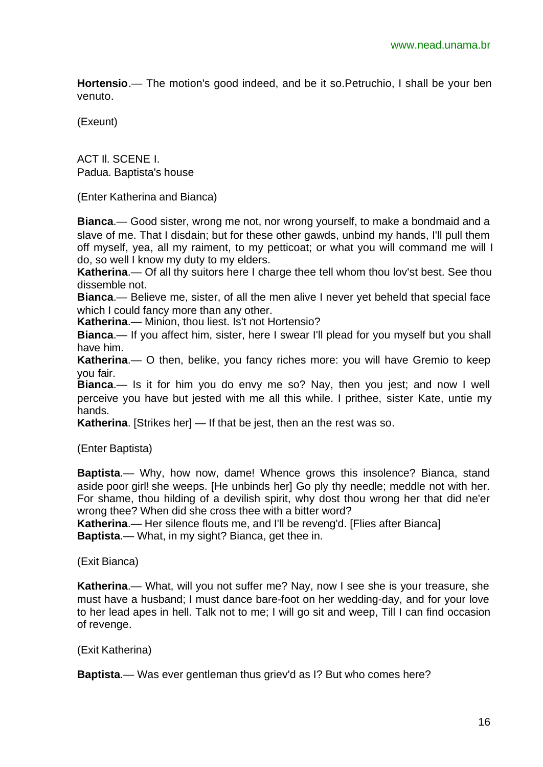**Hortensio**.— The motion's good indeed, and be it so.Petruchio, I shall be your ben venuto.

(Exeunt)

ACT Il. SCENE I. Padua. Baptista's house

(Enter Katherina and Bianca)

**Bianca**.— Good sister, wrong me not, nor wrong yourself, to make a bondmaid and a slave of me. That I disdain; but for these other gawds, unbind my hands, I'll pull them off myself, yea, all my raiment, to my petticoat; or what you will command me will I do, so well I know my duty to my elders.

**Katherina**.— Of all thy suitors here I charge thee tell whom thou lov'st best. See thou dissemble not.

**Bianca**.— Believe me, sister, of all the men alive I never yet beheld that special face which I could fancy more than any other.

**Katherina**.— Minion, thou liest. Is't not Hortensio?

**Bianca**.— If you affect him, sister, here I swear I'll plead for you myself but you shall have him.

**Katherina**.— O then, belike, you fancy riches more: you will have Gremio to keep you fair.

**Bianca**.— Is it for him you do envy me so? Nay, then you jest; and now I well perceive you have but jested with me all this while. I prithee, sister Kate, untie my hands.

**Katherina**. [Strikes her] — If that be jest, then an the rest was so.

(Enter Baptista)

**Baptista**.— Why, how now, dame! Whence grows this insolence? Bianca, stand aside poor girl! she weeps. [He unbinds her] Go ply thy needle; meddle not with her. For shame, thou hilding of a devilish spirit, why dost thou wrong her that did ne'er wrong thee? When did she cross thee with a bitter word?

**Katherina**.— Her silence flouts me, and I'll be reveng'd. [Flies after Bianca] **Baptista**.— What, in my sight? Bianca, get thee in.

(Exit Bianca)

**Katherina**.— What, will you not suffer me? Nay, now I see she is your treasure, she must have a husband; I must dance bare-foot on her wedding-day, and for your love to her lead apes in hell. Talk not to me; I will go sit and weep, Till I can find occasion of revenge.

#### (Exit Katherina)

**Baptista**.— Was ever gentleman thus griev'd as I? But who comes here?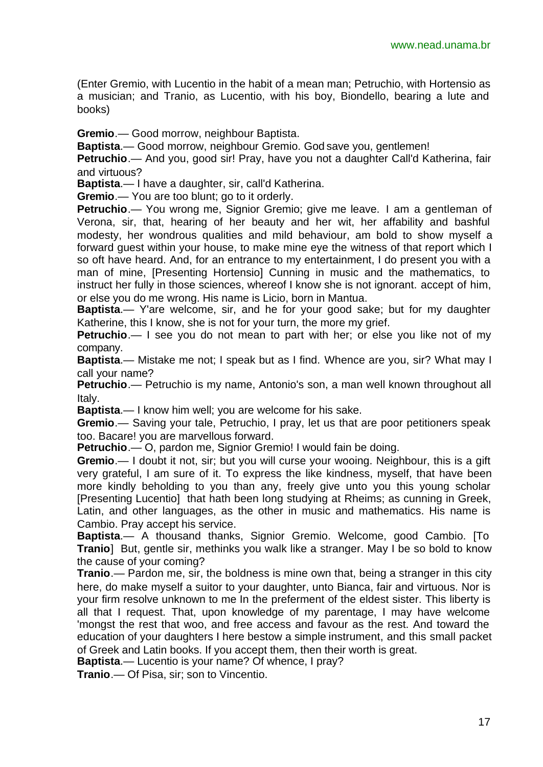(Enter Gremio, with Lucentio in the habit of a mean man; Petruchio, with Hortensio as a musician; and Tranio, as Lucentio, with his boy, Biondello, bearing a lute and books)

**Gremio**.— Good morrow, neighbour Baptista.

**Baptista**.— Good morrow, neighbour Gremio. God save you, gentlemen!

**Petruchio**.— And you, good sir! Pray, have you not a daughter Call'd Katherina, fair and virtuous?

**Baptista**.— I have a daughter, sir, call'd Katherina.

**Gremio**.— You are too blunt; go to it orderly.

**Petruchio**.— You wrong me, Signior Gremio; give me leave. I am a gentleman of Verona, sir, that, hearing of her beauty and her wit, her affability and bashful modesty, her wondrous qualities and mild behaviour, am bold to show myself a forward guest within your house, to make mine eye the witness of that report which I so oft have heard. And, for an entrance to my entertainment, I do present you with a man of mine, [Presenting Hortensio] Cunning in music and the mathematics, to instruct her fully in those sciences, whereof I know she is not ignorant. accept of him, or else you do me wrong. His name is Licio, born in Mantua.

**Baptista**.— Y'are welcome, sir, and he for your good sake; but for my daughter Katherine, this I know, she is not for your turn, the more my grief.

**Petruchio**.— I see you do not mean to part with her; or else you like not of my company.

**Baptista**.— Mistake me not; I speak but as I find. Whence are you, sir? What may I call your name?

**Petruchio**.— Petruchio is my name, Antonio's son, a man well known throughout all Italy.

**Baptista**.— I know him well; you are welcome for his sake.

**Gremio**.— Saving your tale, Petruchio, I pray, let us that are poor petitioners speak too. Bacare! you are marvellous forward.

**Petruchio**.— O, pardon me, Signior Gremio! I would fain be doing.

**Gremio**.— I doubt it not, sir; but you will curse your wooing. Neighbour, this is a gift very grateful, I am sure of it. To express the like kindness, myself, that have been more kindly beholding to you than any, freely give unto you this young scholar [Presenting Lucentio] that hath been long studying at Rheims; as cunning in Greek, Latin, and other languages, as the other in music and mathematics. His name is Cambio. Pray accept his service.

**Baptista**.— A thousand thanks, Signior Gremio. Welcome, good Cambio. [To **Tranio**] But, gentle sir, methinks you walk like a stranger. May I be so bold to know the cause of your coming?

**Tranio**.— Pardon me, sir, the boldness is mine own that, being a stranger in this city here, do make myself a suitor to your daughter, unto Bianca, fair and virtuous. Nor is your firm resolve unknown to me In the preferment of the eldest sister. This liberty is all that I request. That, upon knowledge of my parentage, I may have welcome 'mongst the rest that woo, and free access and favour as the rest. And toward the education of your daughters I here bestow a simple instrument, and this small packet of Greek and Latin books. If you accept them, then their worth is great.

**Baptista**.— Lucentio is your name? Of whence, I pray?

**Tranio**.— Of Pisa, sir; son to Vincentio.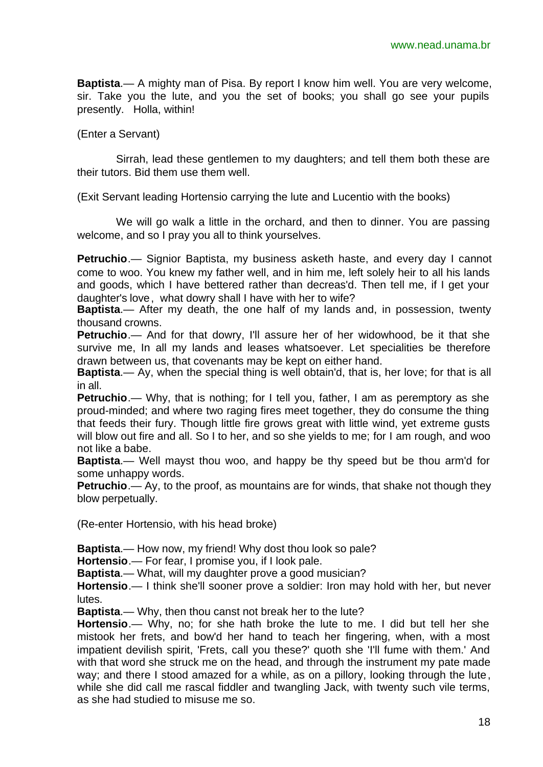**Baptista**.— A mighty man of Pisa. By report I know him well. You are very welcome, sir. Take you the lute, and you the set of books; you shall go see your pupils presently. Holla, within!

(Enter a Servant)

Sirrah, lead these gentlemen to my daughters; and tell them both these are their tutors. Bid them use them well.

(Exit Servant leading Hortensio carrying the lute and Lucentio with the books)

We will go walk a little in the orchard, and then to dinner. You are passing welcome, and so I pray you all to think yourselves.

**Petruchio**.— Signior Baptista, my business asketh haste, and every day I cannot come to woo. You knew my father well, and in him me, left solely heir to all his lands and goods, which I have bettered rather than decreas'd. Then tell me, if I get your daughter's love, what dowry shall I have with her to wife?

**Baptista**.— After my death, the one half of my lands and, in possession, twenty thousand crowns.

**Petruchio**.— And for that dowry, I'll assure her of her widowhood, be it that she survive me, In all my lands and leases whatsoever. Let specialities be therefore drawn between us, that covenants may be kept on either hand.

**Baptista**.— Ay, when the special thing is well obtain'd, that is, her love; for that is all in all.

**Petruchio**.— Why, that is nothing; for I tell you, father, I am as peremptory as she proud-minded; and where two raging fires meet together, they do consume the thing that feeds their fury. Though little fire grows great with little wind, yet extreme gusts will blow out fire and all. So I to her, and so she yields to me; for I am rough, and woo not like a babe.

**Baptista**.— Well mayst thou woo, and happy be thy speed but be thou arm'd for some unhappy words.

**Petruchio**.— Ay, to the proof, as mountains are for winds, that shake not though they blow perpetually.

(Re-enter Hortensio, with his head broke)

**Baptista**.— How now, my friend! Why dost thou look so pale?

**Hortensio**.— For fear, I promise you, if I look pale.

**Baptista**.— What, will my daughter prove a good musician?

**Hortensio**.— I think she'll sooner prove a soldier: Iron may hold with her, but never lutes.

**Baptista**.— Why, then thou canst not break her to the lute?

**Hortensio**.— Why, no; for she hath broke the lute to me. I did but tell her she mistook her frets, and bow'd her hand to teach her fingering, when, with a most impatient devilish spirit, 'Frets, call you these?' quoth she 'I'll fume with them.' And with that word she struck me on the head, and through the instrument my pate made way; and there I stood amazed for a while, as on a pillory, looking through the lute, while she did call me rascal fiddler and twangling Jack, with twenty such vile terms, as she had studied to misuse me so.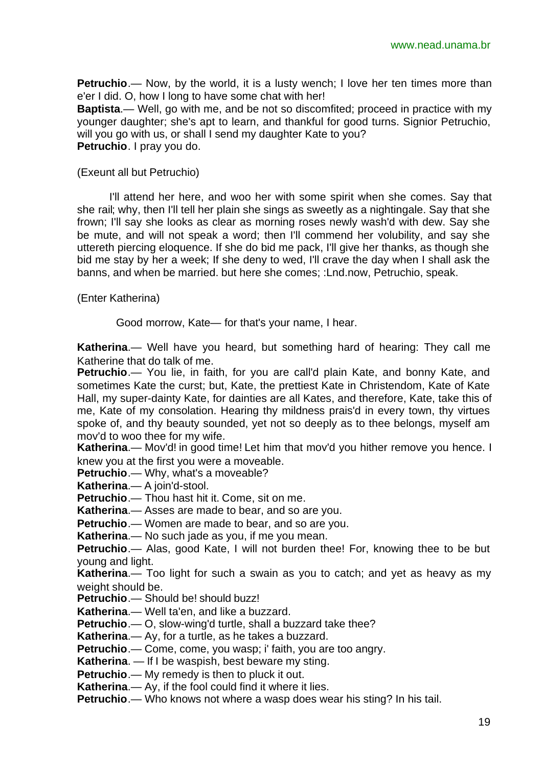**Petruchio**.— Now, by the world, it is a lusty wench; I love her ten times more than e'er I did. O, how I long to have some chat with her!

**Baptista**.— Well, go with me, and be not so discomfited; proceed in practice with my younger daughter; she's apt to learn, and thankful for good turns. Signior Petruchio, will you go with us, or shall I send my daughter Kate to you? **Petruchio**. I pray you do.

(Exeunt all but Petruchio)

I'll attend her here, and woo her with some spirit when she comes. Say that she rail; why, then I'll tell her plain she sings as sweetly as a nightingale. Say that she frown; I'll say she looks as clear as morning roses newly wash'd with dew. Say she be mute, and will not speak a word; then I'll commend her volubility, and say she uttereth piercing eloquence. If she do bid me pack, I'll give her thanks, as though she bid me stay by her a week; If she deny to wed, I'll crave the day when I shall ask the banns, and when be married. but here she comes; :Lnd.now, Petruchio, speak.

(Enter Katherina)

Good morrow, Kate— for that's your name, I hear.

**Katherina**.— Well have you heard, but something hard of hearing: They call me Katherine that do talk of me.

**Petruchio**.— You lie, in faith, for you are call'd plain Kate, and bonny Kate, and sometimes Kate the curst; but, Kate, the prettiest Kate in Christendom, Kate of Kate Hall, my super-dainty Kate, for dainties are all Kates, and therefore, Kate, take this of me, Kate of my consolation. Hearing thy mildness prais'd in every town, thy virtues spoke of, and thy beauty sounded, yet not so deeply as to thee belongs, myself am mov'd to woo thee for my wife.

**Katherina.**— Mov'd! in good time! Let him that mov'd you hither remove you hence. I knew you at the first you were a moveable.

**Petruchio.**— Why, what's a moveable?

**Katherina**.— A join'd-stool.

**Petruchio**.— Thou hast hit it. Come, sit on me.

**Katherina**.— Asses are made to bear, and so are you.

**Petruchio**.— Women are made to bear, and so are you.

**Katherina**.— No such jade as you, if me you mean.

**Petruchio**.— Alas, good Kate, I will not burden thee! For, knowing thee to be but young and light.

**Katherina**.— Too light for such a swain as you to catch; and yet as heavy as my weight should be.

Petruchio.— Should be! should buzz!

**Katherina**.— Well ta'en, and like a buzzard.

**Petruchio**.— O, slow-wing'd turtle, shall a buzzard take thee?

**Katherina**.— Ay, for a turtle, as he takes a buzzard.

**Petruchio**.— Come, come, you wasp; i' faith, you are too angry.

**Katherina**. — If I be waspish, best beware my sting.

**Petruchio**.— My remedy is then to pluck it out.

**Katherina**.— Ay, if the fool could find it where it lies.

**Petruchio**.— Who knows not where a wasp does wear his sting? In his tail.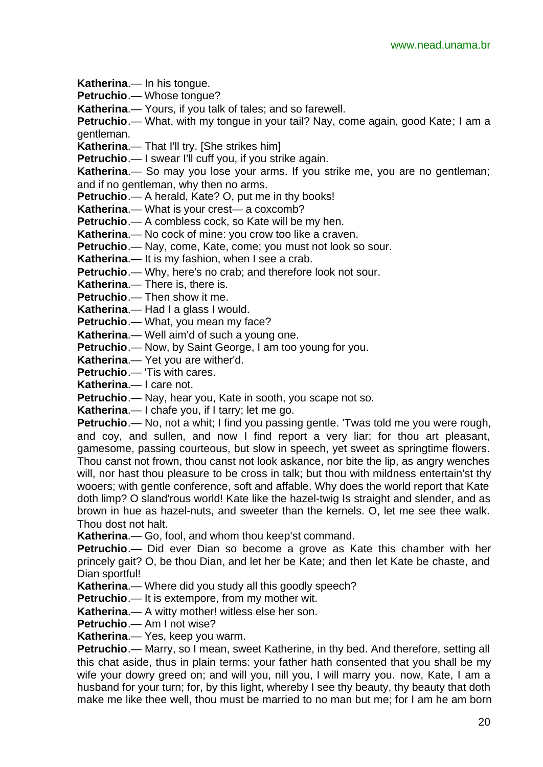**Katherina**.— In his tongue.

**Petruchio**.— Whose tongue?

**Katherina**.— Yours, if you talk of tales; and so farewell.

**Petruchio**.— What, with my tongue in your tail? Nay, come again, good Kate; I am a gentleman.

**Katherina**.— That I'll try. [She strikes him]

Petruchio.— I swear I'll cuff you, if you strike again.

**Katherina**.— So may you lose your arms. If you strike me, you are no gentleman; and if no gentleman, why then no arms.

**Petruchio**.— A herald, Kate? O, put me in thy books!

**Katherina**.— What is your crest— a coxcomb?

**Petruchio**.— A combless cock, so Kate will be my hen.

**Katherina**.— No cock of mine: you crow too like a craven.

**Petruchio**.— Nay, come, Kate, come; you must not look so sour.

**Katherina**.— It is my fashion, when I see a crab.

**Petruchio**.— Why, here's no crab; and therefore look not sour.

**Katherina**.— There is, there is.

**Petruchio**.— Then show it me.

**Katherina**.— Had I a glass I would.

**Petruchio**.— What, you mean my face?

**Katherina**.— Well aim'd of such a young one.

**Petruchio**.— Now, by Saint George, I am too young for you.

**Katherina**.— Yet you are wither'd.

**Petruchio**.— 'Tis with cares.

**Katherina**.— I care not.

**Petruchio**.— Nay, hear you, Kate in sooth, you scape not so.

**Katherina**.— I chafe you, if I tarry; let me go.

**Petruchio**.— No, not a whit; I find you passing gentle. 'Twas told me you were rough, and coy, and sullen, and now I find report a very liar; for thou art pleasant, gamesome, passing courteous, but slow in speech, yet sweet as springtime flowers. Thou canst not frown, thou canst not look askance, nor bite the lip, as angry wenches will, nor hast thou pleasure to be cross in talk; but thou with mildness entertain'st thy wooers; with gentle conference, soft and affable. Why does the world report that Kate doth limp? O sland'rous world! Kate like the hazel-twig Is straight and slender, and as brown in hue as hazel-nuts, and sweeter than the kernels. O, let me see thee walk. Thou dost not halt.

**Katherina**.— Go, fool, and whom thou keep'st command.

**Petruchio**.— Did ever Dian so become a grove as Kate this chamber with her princely gait? O, be thou Dian, and let her be Kate; and then let Kate be chaste, and Dian sportful!

**Katherina**.— Where did you study all this goodly speech?

**Petruchio**.— It is extempore, from my mother wit.

**Katherina.**— A witty mother! witless else her son.

**Petruchio**.— Am I not wise?

**Katherina**.— Yes, keep you warm.

**Petruchio**.— Marry, so I mean, sweet Katherine, in thy bed. And therefore, setting all this chat aside, thus in plain terms: your father hath consented that you shall be my wife your dowry greed on; and will you, nill you, I will marry you, now, Kate, I am a husband for your turn; for, by this light, whereby I see thy beauty, thy beauty that doth make me like thee well, thou must be married to no man but me; for I am he am born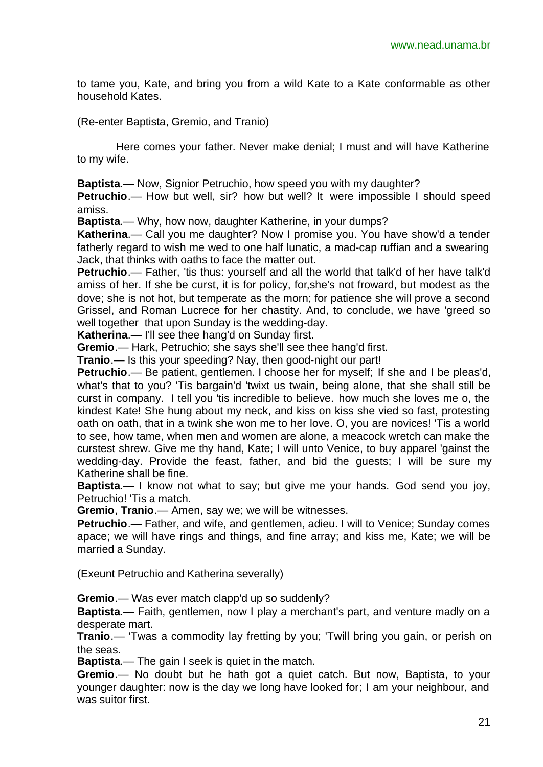to tame you, Kate, and bring you from a wild Kate to a Kate conformable as other household Kates.

(Re-enter Baptista, Gremio, and Tranio)

Here comes your father. Never make denial; I must and will have Katherine to my wife.

**Baptista**.— Now, Signior Petruchio, how speed you with my daughter?

**Petruchio**.— How but well, sir? how but well? It were impossible I should speed amiss.

**Baptista**.— Why, how now, daughter Katherine, in your dumps?

**Katherina**.— Call you me daughter? Now I promise you. You have show'd a tender fatherly regard to wish me wed to one half lunatic, a mad-cap ruffian and a swearing Jack, that thinks with oaths to face the matter out.

**Petruchio**.— Father, 'tis thus: yourself and all the world that talk'd of her have talk'd amiss of her. If she be curst, it is for policy, for,she's not froward, but modest as the dove; she is not hot, but temperate as the morn; for patience she will prove a second Grissel, and Roman Lucrece for her chastity. And, to conclude, we have 'greed so well together that upon Sunday is the wedding-day.

**Katherina**.— I'll see thee hang'd on Sunday first.

**Gremio**.— Hark, Petruchio; she says she'll see thee hang'd first.

**Tranio**.— Is this your speeding? Nay, then good-night our part!

**Petruchio**.— Be patient, gentlemen. I choose her for myself; If she and I be pleas'd, what's that to you? 'Tis bargain'd 'twixt us twain, being alone, that she shall still be curst in company. I tell you 'tis incredible to believe. how much she loves me o, the kindest Kate! She hung about my neck, and kiss on kiss she vied so fast, protesting oath on oath, that in a twink she won me to her love. O, you are novices! 'Tis a world to see, how tame, when men and women are alone, a meacock wretch can make the curstest shrew. Give me thy hand, Kate; I will unto Venice, to buy apparel 'gainst the wedding-day. Provide the feast, father, and bid the guests; I will be sure my Katherine shall be fine.

**Baptista**.— I know not what to say; but give me your hands. God send you joy, Petruchio! 'Tis a match.

**Gremio**, **Tranio**.— Amen, say we; we will be witnesses.

**Petruchio**.— Father, and wife, and gentlemen, adieu. I will to Venice; Sunday comes apace; we will have rings and things, and fine array; and kiss me, Kate; we will be married a Sunday.

(Exeunt Petruchio and Katherina severally)

**Gremio**.— Was ever match clapp'd up so suddenly?

**Baptista**.— Faith, gentlemen, now I play a merchant's part, and venture madly on a desperate mart.

**Tranio**.— 'Twas a commodity lay fretting by you; 'Twill bring you gain, or perish on the seas.

**Baptista**.— The gain I seek is quiet in the match.

**Gremio**.— No doubt but he hath got a quiet catch. But now, Baptista, to your younger daughter: now is the day we long have looked for; I am your neighbour, and was suitor first.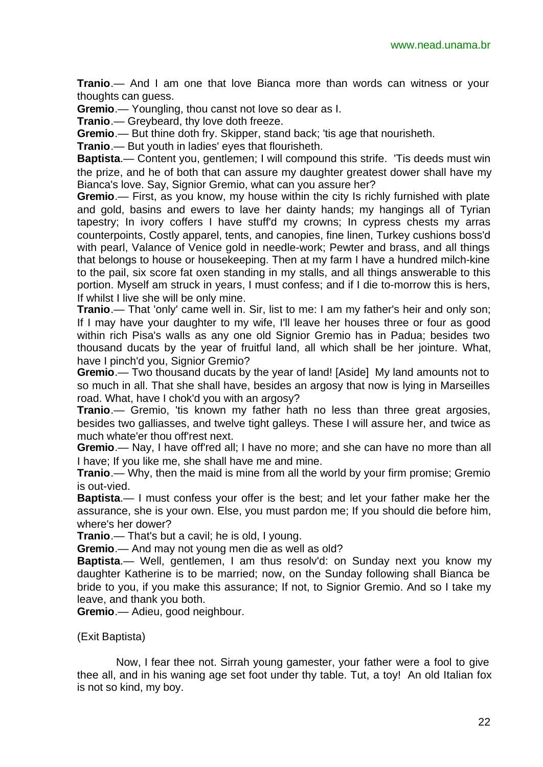**Tranio**.— And I am one that love Bianca more than words can witness or your thoughts can guess.

**Gremio**.— Youngling, thou canst not love so dear as I.

**Tranio**.— Greybeard, thy love doth freeze.

**Gremio**.— But thine doth fry. Skipper, stand back; 'tis age that nourisheth.

**Tranio**.— But youth in ladies' eyes that flourisheth.

**Baptista**.— Content you, gentlemen; I will compound this strife. 'Tis deeds must win the prize, and he of both that can assure my daughter greatest dower shall have my Bianca's love. Say, Signior Gremio, what can you assure her?

**Gremio**.— First, as you know, my house within the city Is richly furnished with plate and gold, basins and ewers to lave her dainty hands; my hangings all of Tyrian tapestry; In ivory coffers I have stuff'd my crowns; In cypress chests my arras counterpoints, Costly apparel, tents, and canopies, fine linen, Turkey cushions boss'd with pearl, Valance of Venice gold in needle-work; Pewter and brass, and all things that belongs to house or housekeeping. Then at my farm I have a hundred milch-kine to the pail, six score fat oxen standing in my stalls, and all things answerable to this portion. Myself am struck in years, I must confess; and if I die to-morrow this is hers, If whilst I live she will be only mine.

**Tranio**.— That 'only' came well in. Sir, list to me: I am my father's heir and only son; If I may have your daughter to my wife, I'll leave her houses three or four as good within rich Pisa's walls as any one old Signior Gremio has in Padua; besides two thousand ducats by the year of fruitful land, all which shall be her jointure. What, have I pinch'd you, Signior Gremio?

**Gremio**.— Two thousand ducats by the year of land! [Aside] My land amounts not to so much in all. That she shall have, besides an argosy that now is lying in Marseilles road. What, have I chok'd you with an argosy?

**Tranio**.— Gremio, 'tis known my father hath no less than three great argosies, besides two galliasses, and twelve tight galleys. These I will assure her, and twice as much whate'er thou off'rest next.

**Gremio**.— Nay, I have off'red all; I have no more; and she can have no more than all I have; If you like me, she shall have me and mine.

**Tranio**.— Why, then the maid is mine from all the world by your firm promise; Gremio is out-vied.

**Baptista**.— I must confess your offer is the best; and let your father make her the assurance, she is your own. Else, you must pardon me; If you should die before him, where's her dower?

**Tranio**.— That's but a cavil; he is old, I young.

**Gremio**.— And may not young men die as well as old?

**Baptista**.— Well, gentlemen, I am thus resolv'd: on Sunday next you know my daughter Katherine is to be married; now, on the Sunday following shall Bianca be bride to you, if you make this assurance; If not, to Signior Gremio. And so I take my leave, and thank you both.

**Gremio**.— Adieu, good neighbour.

(Exit Baptista)

Now, I fear thee not. Sirrah young gamester, your father were a fool to give thee all, and in his waning age set foot under thy table. Tut, a toy! An old Italian fox is not so kind, my boy.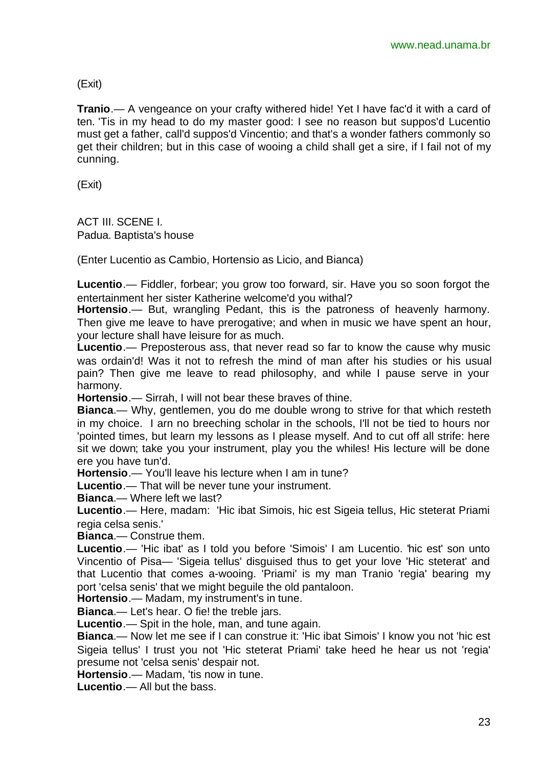(Exit)

**Tranio**.— A vengeance on your crafty withered hide! Yet I have fac'd it with a card of ten. 'Tis in my head to do my master good: I see no reason but suppos'd Lucentio must get a father, call'd suppos'd Vincentio; and that's a wonder fathers commonly so get their children; but in this case of wooing a child shall get a sire, if I fail not of my cunning.

(Exit)

ACT III. SCENE I. Padua. Baptista's house

(Enter Lucentio as Cambio, Hortensio as Licio, and Bianca)

**Lucentio**.— Fiddler, forbear; you grow too forward, sir. Have you so soon forgot the entertainment her sister Katherine welcome'd you withal?

**Hortensio**.— But, wrangling Pedant, this is the patroness of heavenly harmony. Then give me leave to have prerogative; and when in music we have spent an hour, your lecture shall have leisure for as much.

**Lucentio**.— Preposterous ass, that never read so far to know the cause why music was ordain'd! Was it not to refresh the mind of man after his studies or his usual pain? Then give me leave to read philosophy, and while I pause serve in your harmony.

**Hortensio**.— Sirrah, I will not bear these braves of thine.

**Bianca**.— Why, gentlemen, you do me double wrong to strive for that which resteth in my choice. I arn no breeching scholar in the schools, I'll not be tied to hours nor 'pointed times, but learn my lessons as I please myself. And to cut off all strife: here sit we down; take you your instrument, play you the whiles! His lecture will be done ere you have tun'd.

**Hortensio**.— You'll leave his lecture when I am in tune?

**Lucentio**.— That will be never tune your instrument.

**Bianca**.— Where left we last?

**Lucentio**.— Here, madam: 'Hic ibat Simois, hic est Sigeia tellus, Hic steterat Priami regia celsa senis.'

**Bianca**.— Construe them.

**Lucentio**.— 'Hic ibat' as I told you before 'Simois' I am Lucentio. 'hic est' son unto Vincentio of Pisa— 'Sigeia tellus' disguised thus to get your love 'Hic steterat' and that Lucentio that comes a-wooing. 'Priami' is my man Tranio 'regia' bearing my port 'celsa senis' that we might beguile the old pantaloon.

**Hortensio**.— Madam, my instrument's in tune.

**Bianca**.— Let's hear. O fie! the treble jars.

**Lucentio**.— Spit in the hole, man, and tune again.

**Bianca**.— Now let me see if I can construe it: 'Hic ibat Simois' I know you not 'hic est Sigeia tellus' I trust you not 'Hic steterat Priami' take heed he hear us not 'regia' presume not 'celsa senis' despair not.

**Hortensio**.— Madam, 'tis now in tune.

**Lucentio**.— All but the bass.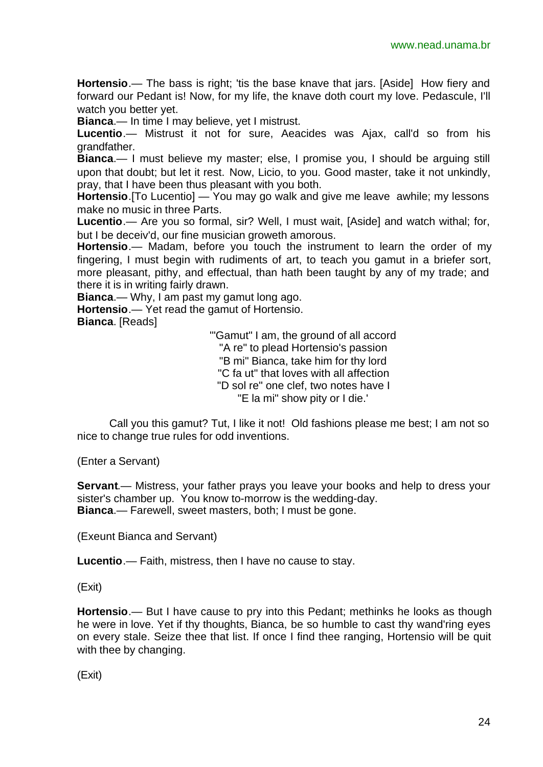**Hortensio**.— The bass is right; 'tis the base knave that jars. [Aside] How fiery and forward our Pedant is! Now, for my life, the knave doth court my love. Pedascule, I'll watch you better yet.

**Bianca**.— In time I may believe, yet I mistrust.

**Lucentio**.— Mistrust it not for sure, Aeacides was Ajax, call'd so from his grandfather.

**Bianca**.— I must believe my master; else, I promise you, I should be arguing still upon that doubt; but let it rest. Now, Licio, to you. Good master, take it not unkindly, pray, that I have been thus pleasant with you both.

**Hortensio**.[To Lucentio] — You may go walk and give me leave awhile; my lessons make no music in three Parts.

**Lucentio**.— Are you so formal, sir? Well, I must wait, [Aside] and watch withal; for, but I be deceiv'd, our fine musician groweth amorous.

**Hortensio**.— Madam, before you touch the instrument to learn the order of my fingering, I must begin with rudiments of art, to teach you gamut in a briefer sort, more pleasant, pithy, and effectual, than hath been taught by any of my trade; and there it is in writing fairly drawn.

**Bianca**.— Why, I am past my gamut long ago.

**Hortensio**.— Yet read the gamut of Hortensio.

**Bianca**. [Reads]

'"Gamut" I am, the ground of all accord "A re" to plead Hortensio's passion "B mi" Bianca, take him for thy lord "C fa ut" that loves with all affection "D sol re" one clef, two notes have I "E la mi" show pity or I die.'

Call you this gamut? Tut, I like it not! Old fashions please me best; I am not so nice to change true rules for odd inventions.

(Enter a Servant)

**Servant**.— Mistress, your father prays you leave your books and help to dress your sister's chamber up. You know to-morrow is the wedding-day. **Bianca**.— Farewell, sweet masters, both; I must be gone.

(Exeunt Bianca and Servant)

**Lucentio**.— Faith, mistress, then I have no cause to stay.

### (Exit)

**Hortensio**.— But I have cause to pry into this Pedant; methinks he looks as though he were in love. Yet if thy thoughts, Bianca, be so humble to cast thy wand'ring eyes on every stale. Seize thee that list. If once I find thee ranging, Hortensio will be quit with thee by changing.

(Exit)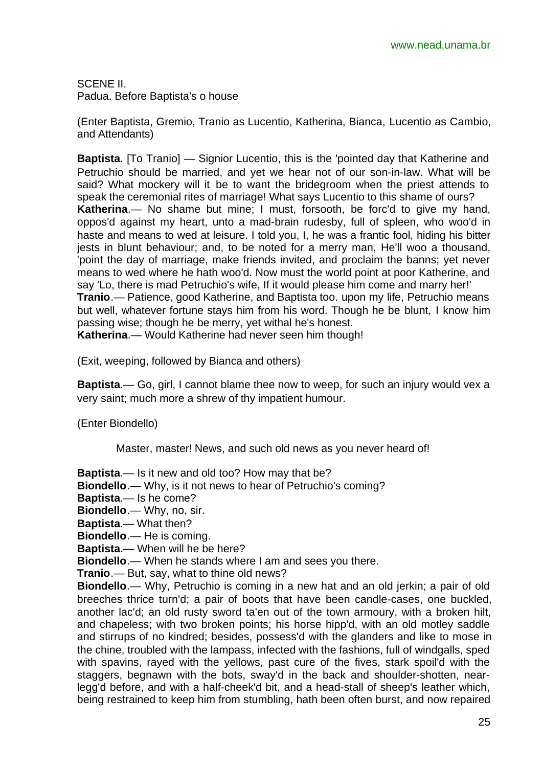SCENE II. Padua. Before Baptista's o house

(Enter Baptista, Gremio, Tranio as Lucentio, Katherina, Bianca, Lucentio as Cambio, and Attendants)

**Baptista**. [To Tranio] — Signior Lucentio, this is the 'pointed day that Katherine and Petruchio should be married, and yet we hear not of our son-in-law. What will be said? What mockery will it be to want the bridegroom when the priest attends to speak the ceremonial rites of marriage! What says Lucentio to this shame of ours? **Katherina**.— No shame but mine; I must, forsooth, be forc'd to give my hand, oppos'd against my heart, unto a mad-brain rudesby, full of spleen, who woo'd in haste and means to wed at leisure. I told you, I, he was a frantic fool, hiding his bitter jests in blunt behaviour; and, to be noted for a merry man, He'll woo a thousand, 'point the day of marriage, make friends invited, and proclaim the banns; yet never means to wed where he hath woo'd. Now must the world point at poor Katherine, and say 'Lo, there is mad Petruchio's wife, If it would please him come and marry her!' **Tranio**.— Patience, good Katherine, and Baptista too. upon my life, Petruchio means but well, whatever fortune stays him from his word. Though he be blunt, I know him passing wise; though he be merry, yet withal he's honest. **Katherina**.— Would Katherine had never seen him though!

(Exit, weeping, followed by Bianca and others)

**Baptista**.— Go, girl, I cannot blame thee now to weep, for such an injury would vex a very saint; much more a shrew of thy impatient humour.

(Enter Biondello)

Master, master! News, and such old news as you never heard of!

**Baptista**.— Is it new and old too? How may that be?

**Biondello**.— Why, is it not news to hear of Petruchio's coming?

**Baptista**.— Is he come?

**Biondello**.— Why, no, sir.

**Baptista**.— What then?

**Biondello**.— He is coming.

**Baptista**.— When will he be here?

**Biondello**.— When he stands where I am and sees you there.

**Tranio**.— But, say, what to thine old news?

**Biondello**.— Why, Petruchio is coming in a new hat and an old jerkin; a pair of old breeches thrice turn'd; a pair of boots that have been candle-cases, one buckled, another lac'd; an old rusty sword ta'en out of the town armoury, with a broken hilt, and chapeless; with two broken points; his horse hipp'd, with an old motley saddle and stirrups of no kindred; besides, possess'd with the glanders and like to mose in the chine, troubled with the lampass, infected with the fashions, full of windgalls, sped with spavins, rayed with the yellows, past cure of the fives, stark spoil'd with the staggers, begnawn with the bots, sway'd in the back and shoulder-shotten, nearlegg'd before, and with a half-cheek'd bit, and a head-stall of sheep's leather which, being restrained to keep him from stumbling, hath been often burst, and now repaired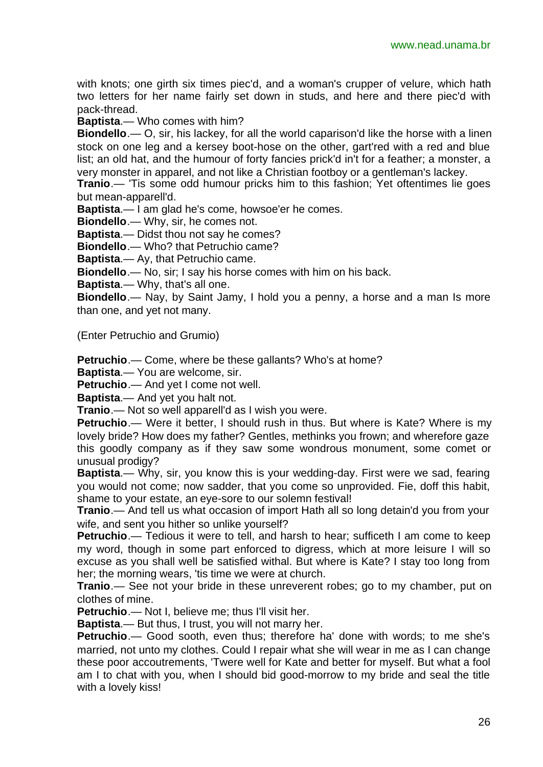with knots; one girth six times piec'd, and a woman's crupper of velure, which hath two letters for her name fairly set down in studs, and here and there piec'd with pack-thread.

**Baptista**.— Who comes with him?

**Biondello**.— O, sir, his lackey, for all the world caparison'd like the horse with a linen stock on one leg and a kersey boot-hose on the other, gart'red with a red and blue list; an old hat, and the humour of forty fancies prick'd in't for a feather; a monster, a very monster in apparel, and not like a Christian footboy or a gentleman's lackey.

**Tranio**.— 'Tis some odd humour pricks him to this fashion; Yet oftentimes lie goes but mean-apparell'd.

**Baptista**.— I am glad he's come, howsoe'er he comes.

**Biondello**.— Why, sir, he comes not.

**Baptista**.— Didst thou not say he comes?

**Biondello**.— Who? that Petruchio came?

**Baptista**.— Ay, that Petruchio came.

**Biondello**.— No, sir; I say his horse comes with him on his back.

**Baptista**.— Why, that's all one.

**Biondello**.— Nay, by Saint Jamy, I hold you a penny, a horse and a man Is more than one, and yet not many.

(Enter Petruchio and Grumio)

**Petruchio**.— Come, where be these gallants? Who's at home?

**Baptista**.— You are welcome, sir.

**Petruchio**.— And yet I come not well.

**Baptista**.— And yet you halt not.

**Tranio**.— Not so well apparell'd as I wish you were.

**Petruchio.**— Were it better, I should rush in thus. But where is Kate? Where is my lovely bride? How does my father? Gentles, methinks you frown; and wherefore gaze this goodly company as if they saw some wondrous monument, some comet or unusual prodigy?

**Baptista**.— Why, sir, you know this is your wedding-day. First were we sad, fearing you would not come; now sadder, that you come so unprovided. Fie, doff this habit, shame to your estate, an eye-sore to our solemn festival!

**Tranio**.— And tell us what occasion of import Hath all so long detain'd you from your wife, and sent you hither so unlike yourself?

**Petruchio**.— Tedious it were to tell, and harsh to hear; sufficeth I am come to keep my word, though in some part enforced to digress, which at more leisure I will so excuse as you shall well be satisfied withal. But where is Kate? I stay too long from her; the morning wears, 'tis time we were at church.

**Tranio**.— See not your bride in these unreverent robes; go to my chamber, put on clothes of mine.

**Petruchio.**— Not I, believe me; thus I'll visit her.

**Baptista**.— But thus, I trust, you will not marry her.

**Petruchio**.— Good sooth, even thus; therefore ha' done with words; to me she's married, not unto my clothes. Could I repair what she will wear in me as I can change these poor accoutrements, 'Twere well for Kate and better for myself. But what a fool am I to chat with you, when I should bid good-morrow to my bride and seal the title with a lovely kiss!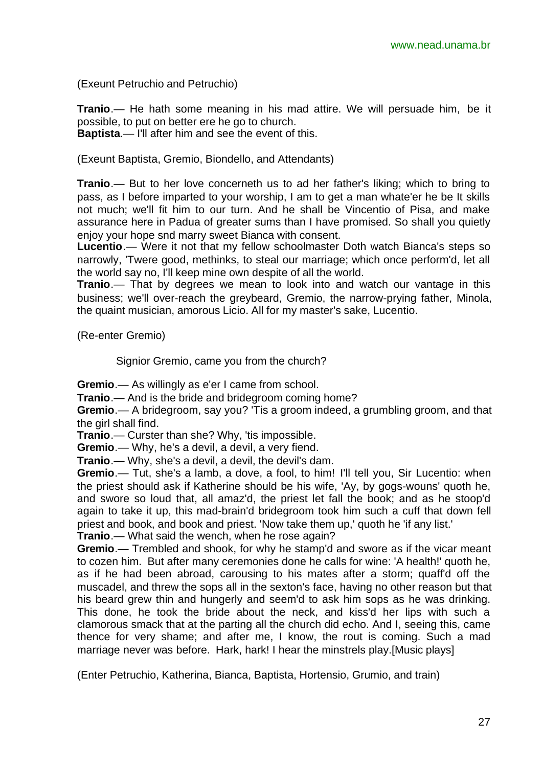(Exeunt Petruchio and Petruchio)

**Tranio**.— He hath some meaning in his mad attire. We will persuade him, be it possible, to put on better ere he go to church. **Baptista**.— I'll after him and see the event of this.

(Exeunt Baptista, Gremio, Biondello, and Attendants)

**Tranio**.— But to her love concerneth us to ad her father's liking; which to bring to pass, as I before imparted to your worship, I am to get a man whate'er he be It skills not much; we'll fit him to our turn. And he shall be Vincentio of Pisa, and make assurance here in Padua of greater sums than I have promised. So shall you quietly enjoy your hope snd marry sweet Bianca with consent.

**Lucentio**.— Were it not that my fellow schoolmaster Doth watch Bianca's steps so narrowly, 'Twere good, methinks, to steal our marriage; which once perform'd, let all the world say no, I'll keep mine own despite of all the world.

**Tranio**.— That by degrees we mean to look into and watch our vantage in this business; we'll over-reach the greybeard, Gremio, the narrow-prying father, Minola, the quaint musician, amorous Licio. All for my master's sake, Lucentio.

(Re-enter Gremio)

Signior Gremio, came you from the church?

**Gremio**.— As willingly as e'er I came from school.

**Tranio**.— And is the bride and bridegroom coming home?

**Gremio**.— A bridegroom, say you? 'Tis a groom indeed, a grumbling groom, and that the girl shall find.

**Tranio.**— Curster than she? Why, 'tis impossible.

**Gremio**.— Why, he's a devil, a devil, a very fiend.

**Tranio**.— Why, she's a devil, a devil, the devil's dam.

**Gremio**.— Tut, she's a lamb, a dove, a fool, to him! I'll tell you, Sir Lucentio: when the priest should ask if Katherine should be his wife, 'Ay, by gogs-wouns' quoth he, and swore so loud that, all amaz'd, the priest let fall the book; and as he stoop'd again to take it up, this mad-brain'd bridegroom took him such a cuff that down fell priest and book, and book and priest. 'Now take them up,' quoth he 'if any list.'

**Tranio**.— What said the wench, when he rose again?

**Gremio**.— Trembled and shook, for why he stamp'd and swore as if the vicar meant to cozen him. But after many ceremonies done he calls for wine: 'A health!' quoth he, as if he had been abroad, carousing to his mates after a storm; quaff'd off the muscadel, and threw the sops all in the sexton's face, having no other reason but that his beard grew thin and hungerly and seem'd to ask him sops as he was drinking. This done, he took the bride about the neck, and kiss'd her lips with such a clamorous smack that at the parting all the church did echo. And I, seeing this, came thence for very shame; and after me, I know, the rout is coming. Such a mad marriage never was before. Hark, hark! I hear the minstrels play.[Music plays]

(Enter Petruchio, Katherina, Bianca, Baptista, Hortensio, Grumio, and train)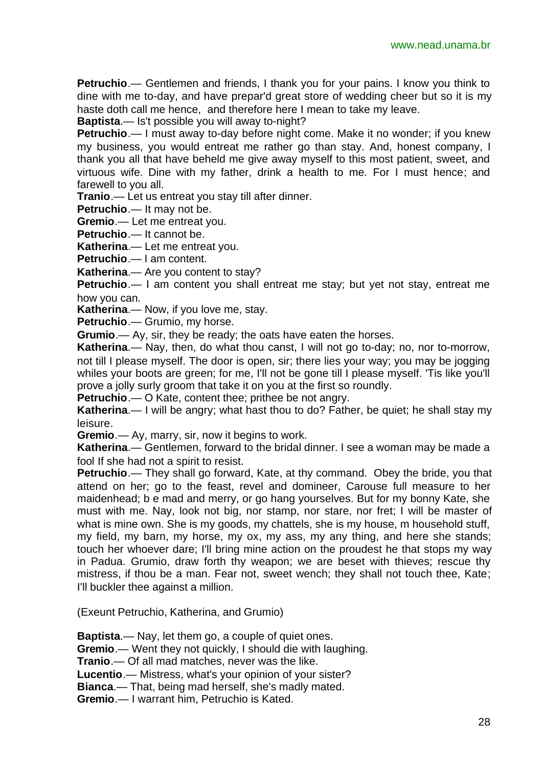**Petruchio**.— Gentlemen and friends, I thank you for your pains. I know you think to dine with me to-day, and have prepar'd great store of wedding cheer but so it is my haste doth call me hence, and therefore here I mean to take my leave.

**Baptista**.— Is't possible you will away to-night?

**Petruchio**.— I must away to-day before night come. Make it no wonder; if you knew my business, you would entreat me rather go than stay. And, honest company, I thank you all that have beheld me give away myself to this most patient, sweet, and virtuous wife. Dine with my father, drink a health to me. For I must hence; and farewell to you all.

**Tranio**.— Let us entreat you stay till after dinner.

**Petruchio**.— It may not be.

**Gremio**.— Let me entreat you.

**Petruchio**.— It cannot be.

**Katherina**.— Let me entreat you.

**Petruchio**.— I am content.

**Katherina.**— Are you content to stay?

**Petruchio**.— I am content you shall entreat me stay; but yet not stay, entreat me how you can.

**Katherina**.— Now, if you love me, stay.

**Petruchio**.— Grumio, my horse.

**Grumio**.— Ay, sir, they be ready; the oats have eaten the horses.

**Katherina**.— Nay, then, do what thou canst, I will not go to-day; no, nor to-morrow, not till I please myself. The door is open, sir; there lies your way; you may be jogging whiles your boots are green; for me, I'll not be gone till I please myself. 'Tis like you'll prove a jolly surly groom that take it on you at the first so roundly.

**Petruchio**.— O Kate, content thee; prithee be not angry.

**Katherina**.— I will be angry; what hast thou to do? Father, be quiet; he shall stay my leisure.

**Gremio**.— Ay, marry, sir, now it begins to work.

**Katherina**.— Gentlemen, forward to the bridal dinner. I see a woman may be made a fool If she had not a spirit to resist.

**Petruchio**.— They shall go forward, Kate, at thy command. Obey the bride, you that attend on her; go to the feast, revel and domineer, Carouse full measure to her maidenhead; b e mad and merry, or go hang yourselves. But for my bonny Kate, she must with me. Nay, look not big, nor stamp, nor stare, nor fret; I will be master of what is mine own. She is my goods, my chattels, she is my house, m household stuff, my field, my barn, my horse, my ox, my ass, my any thing, and here she stands; touch her whoever dare; I'll bring mine action on the proudest he that stops my way in Padua. Grumio, draw forth thy weapon; we are beset with thieves; rescue thy mistress, if thou be a man. Fear not, sweet wench; they shall not touch thee, Kate; I'll buckler thee against a million.

(Exeunt Petruchio, Katherina, and Grumio)

**Baptista**.— Nay, let them go, a couple of quiet ones.

**Gremio**.— Went they not quickly, I should die with laughing.

**Tranio**.— Of all mad matches, never was the like.

**Lucentio**.— Mistress, what's your opinion of your sister?

**Bianca**.— That, being mad herself, she's madly mated.

**Gremio**.— I warrant him, Petruchio is Kated.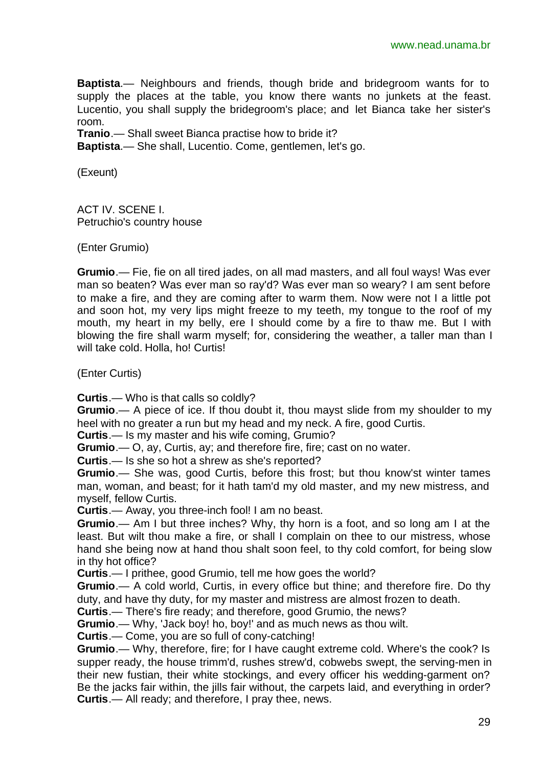**Baptista**.— Neighbours and friends, though bride and bridegroom wants for to supply the places at the table, you know there wants no junkets at the feast. Lucentio, you shall supply the bridegroom's place; and let Bianca take her sister's room.

**Tranio**.— Shall sweet Bianca practise how to bride it?

**Baptista**.— She shall, Lucentio. Come, gentlemen, let's go.

(Exeunt)

ACT IV. SCENE I. Petruchio's country house

(Enter Grumio)

**Grumio**.— Fie, fie on all tired jades, on all mad masters, and all foul ways! Was ever man so beaten? Was ever man so ray'd? Was ever man so weary? I am sent before to make a fire, and they are coming after to warm them. Now were not I a little pot and soon hot, my very lips might freeze to my teeth, my tongue to the roof of my mouth, my heart in my belly, ere I should come by a fire to thaw me. But I with blowing the fire shall warm myself; for, considering the weather, a taller man than I will take cold. Holla, ho! Curtis!

(Enter Curtis)

**Curtis**.— Who is that calls so coldly?

**Grumio**.— A piece of ice. If thou doubt it, thou mayst slide from my shoulder to my heel with no greater a run but my head and my neck. A fire, good Curtis.

**Curtis**.— Is my master and his wife coming, Grumio?

**Grumio**.— O, ay, Curtis, ay; and therefore fire, fire; cast on no water.

**Curtis**.— Is she so hot a shrew as she's reported?

**Grumio**.— She was, good Curtis, before this frost; but thou know'st winter tames man, woman, and beast; for it hath tam'd my old master, and my new mistress, and myself, fellow Curtis.

**Curtis**.— Away, you three-inch fool! I am no beast.

**Grumio**.— Am I but three inches? Why, thy horn is a foot, and so long am I at the least. But wilt thou make a fire, or shall I complain on thee to our mistress, whose hand she being now at hand thou shalt soon feel, to thy cold comfort, for being slow in thy hot office?

**Curtis**.— I prithee, good Grumio, tell me how goes the world?

**Grumio**.— A cold world, Curtis, in every office but thine; and therefore fire. Do thy duty, and have thy duty, for my master and mistress are almost frozen to death.

**Curtis**.— There's fire ready; and therefore, good Grumio, the news?

**Grumio**.— Why, 'Jack boy! ho, boy!' and as much news as thou wilt.

**Curtis**.— Come, you are so full of cony-catching!

**Grumio**.— Why, therefore, fire; for I have caught extreme cold. Where's the cook? Is supper ready, the house trimm'd, rushes strew'd, cobwebs swept, the serving-men in their new fustian, their white stockings, and every officer his wedding-garment on? Be the jacks fair within, the jills fair without, the carpets laid, and everything in order? **Curtis**.— All ready; and therefore, I pray thee, news.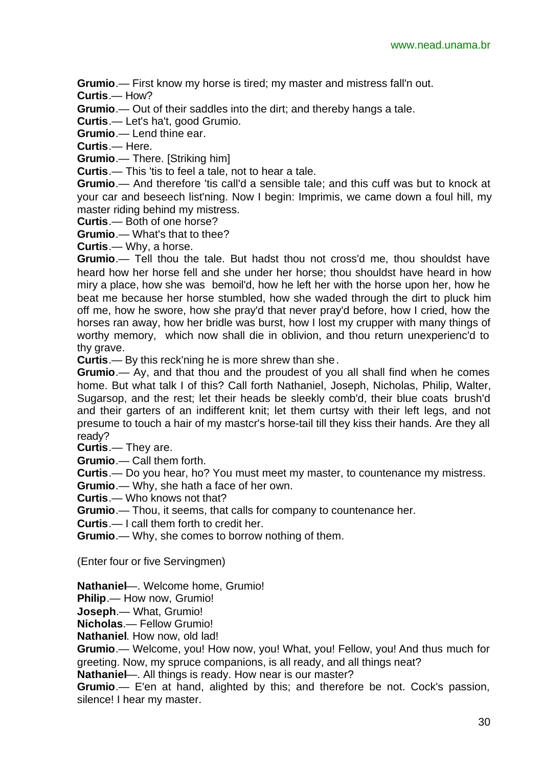**Grumio**.— First know my horse is tired; my master and mistress fall'n out.

**Curtis**.— How?

**Grumio**.— Out of their saddles into the dirt; and thereby hangs a tale.

**Curtis**.— Let's ha't, good Grumio.

**Grumio**.— Lend thine ear.

**Curtis**.— Here.

**Grumio**.— There. [Striking him]

**Curtis**.— This 'tis to feel a tale, not to hear a tale.

Grumio.— And therefore 'tis call'd a sensible tale; and this cuff was but to knock at your car and beseech list'ning. Now I begin: Imprimis, we came down a foul hill, my master riding behind my mistress.

**Curtis**.— Both of one horse?

**Grumio**.— What's that to thee?

**Curtis**.— Why, a horse.

**Grumio**.— Tell thou the tale. But hadst thou not cross'd me, thou shouldst have heard how her horse fell and she under her horse; thou shouldst have heard in how miry a place, how she was bemoil'd, how he left her with the horse upon her, how he beat me because her horse stumbled, how she waded through the dirt to pluck him off me, how he swore, how she pray'd that never pray'd before, how I cried, how the horses ran away, how her bridle was burst, how I lost my crupper with many things of worthy memory, which now shall die in oblivion, and thou return unexperienc'd to thy grave.

**Curtis**.— By this reck'ning he is more shrew than she.

**Grumio**.— Ay, and that thou and the proudest of you all shall find when he comes home. But what talk I of this? Call forth Nathaniel, Joseph, Nicholas, Philip, Walter, Sugarsop, and the rest; let their heads be sleekly comb'd, their blue coats brush'd and their garters of an indifferent knit; let them curtsy with their left legs, and not presume to touch a hair of my mastcr's horse-tail till they kiss their hands. Are they all ready?

**Curtis**.— They are.

**Grumio**.— Call them forth.

**Curtis**.— Do you hear, ho? You must meet my master, to countenance my mistress.

**Grumio**.— Why, she hath a face of her own.

**Curtis**.— Who knows not that?

**Grumio**.— Thou, it seems, that calls for company to countenance her.

**Curtis**.— I call them forth to credit her.

**Grumio**.— Why, she comes to borrow nothing of them.

(Enter four or five Servingmen)

**Nathaniel**—. Welcome home, Grumio!

**Philip.**— How now, Grumio!

**Joseph**.— What, Grumio!

**Nicholas**.— Fellow Grumio!

**Nathaniel**. How now, old lad!

**Grumio**.— Welcome, you! How now, you! What, you! Fellow, you! And thus much for greeting. Now, my spruce companions, is all ready, and all things neat?

**Nathaniel**—. All things is ready. How near is our master?

**Grumio**.— E'en at hand, alighted by this; and therefore be not. Cock's passion, silence! I hear my master.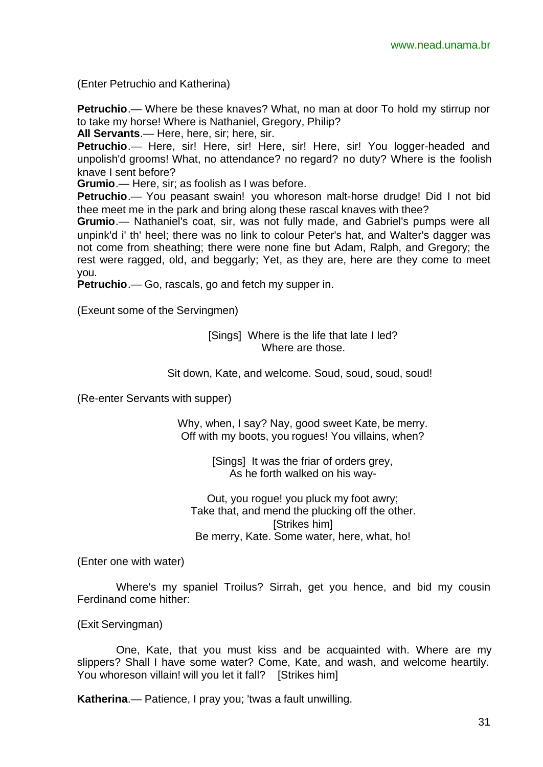(Enter Petruchio and Katherina)

**Petruchio**.— Where be these knaves? What, no man at door To hold my stirrup nor to take my horse! Where is Nathaniel, Gregory, Philip?

**All Servants**.— Here, here, sir; here, sir.

**Petruchio**.— Here, sir! Here, sir! Here, sir! Here, sir! You logger-headed and unpolish'd grooms! What, no attendance? no regard? no duty? Where is the foolish knave I sent before?

**Grumio**.— Here, sir; as foolish as I was before.

**Petruchio**.— You peasant swain! you whoreson malt-horse drudge! Did I not bid thee meet me in the park and bring along these rascal knaves with thee?

**Grumio**.— Nathaniel's coat, sir, was not fully made, and Gabriel's pumps were all unpink'd i' th' heel; there was no link to colour Peter's hat, and Walter's dagger was not come from sheathing; there were none fine but Adam, Ralph, and Gregory; the rest were ragged, old, and beggarly; Yet, as they are, here are they come to meet you.

**Petruchio**.— Go, rascals, go and fetch my supper in.

(Exeunt some of the Servingmen)

[Sings] Where is the life that late I led? Where are those.

Sit down, Kate, and welcome. Soud, soud, soud, soud!

(Re-enter Servants with supper)

Why, when, I say? Nay, good sweet Kate, be merry. Off with my boots, you rogues! You villains, when?

> [Sings] It was the friar of orders grey, As he forth walked on his way-

Out, you rogue! you pluck my foot awry; Take that, and mend the plucking off the other. **[Strikes him]** Be merry, Kate. Some water, here, what, ho!

(Enter one with water)

Where's my spaniel Troilus? Sirrah, get you hence, and bid my cousin Ferdinand come hither:

(Exit Servingman)

One, Kate, that you must kiss and be acquainted with. Where are my slippers? Shall I have some water? Come, Kate, and wash, and welcome heartily. You whoreson villain! will you let it fall? [Strikes him]

**Katherina**.— Patience, I pray you; 'twas a fault unwilling.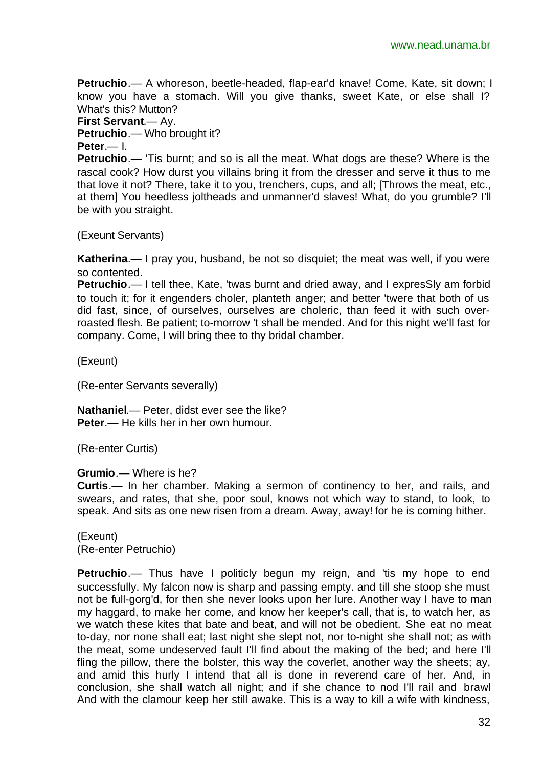**Petruchio**.— A whoreson, beetle-headed, flap-ear'd knave! Come, Kate, sit down; I know you have a stomach. Will you give thanks, sweet Kate, or else shall I? What's this? Mutton?

**First Servant**.— Ay.

**Petruchio**.— Who brought it?

**Peter**.— I.

**Petruchio**.— 'Tis burnt; and so is all the meat. What dogs are these? Where is the rascal cook? How durst you villains bring it from the dresser and serve it thus to me that love it not? There, take it to you, trenchers, cups, and all; [Throws the meat, etc., at them] You heedless joltheads and unmanner'd slaves! What, do you grumble? I'll be with you straight.

(Exeunt Servants)

**Katherina**.— I pray you, husband, be not so disquiet; the meat was well, if you were so contented.

**Petruchio.**— I tell thee, Kate, 'twas burnt and dried away, and I expresSly am forbid to touch it; for it engenders choler, planteth anger; and better 'twere that both of us did fast, since, of ourselves, ourselves are choleric, than feed it with such overroasted flesh. Be patient; to-morrow 't shall be mended. And for this night we'll fast for company. Come, I will bring thee to thy bridal chamber.

(Exeunt)

(Re-enter Servants severally)

**Nathaniel**.— Peter, didst ever see the like? **Peter**.— He kills her in her own humour.

(Re-enter Curtis)

**Grumio**.— Where is he?

**Curtis**.— In her chamber. Making a sermon of continency to her, and rails, and swears, and rates, that she, poor soul, knows not which way to stand, to look, to speak. And sits as one new risen from a dream. Away, away! for he is coming hither.

(Exeunt) (Re-enter Petruchio)

**Petruchio**.— Thus have I politicly begun my reign, and 'tis my hope to end successfully. My falcon now is sharp and passing empty. and till she stoop she must not be full-gorg'd, for then she never looks upon her lure. Another way I have to man my haggard, to make her come, and know her keeper's call, that is, to watch her, as we watch these kites that bate and beat, and will not be obedient. She eat no meat to-day, nor none shall eat; last night she slept not, nor to-night she shall not; as with the meat, some undeserved fault I'll find about the making of the bed; and here I'll fling the pillow, there the bolster, this way the coverlet, another way the sheets; ay, and amid this hurly I intend that all is done in reverend care of her. And, in conclusion, she shall watch all night; and if she chance to nod I'll rail and brawl And with the clamour keep her still awake. This is a way to kill a wife with kindness,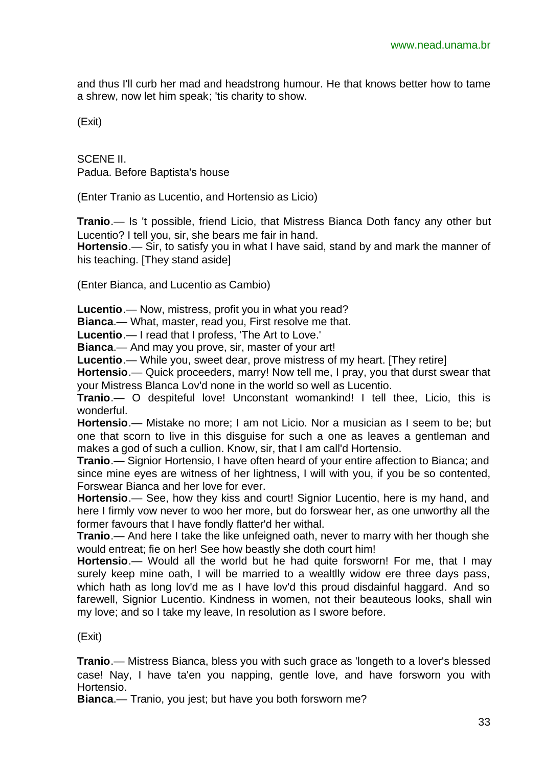and thus I'll curb her mad and headstrong humour. He that knows better how to tame a shrew, now let him speak; 'tis charity to show.

(Exit)

SCENE II. Padua. Before Baptista's house

(Enter Tranio as Lucentio, and Hortensio as Licio)

**Tranio**.— Is 't possible, friend Licio, that Mistress Bianca Doth fancy any other but Lucentio? I tell you, sir, she bears me fair in hand.

**Hortensio**.— Sir, to satisfy you in what I have said, stand by and mark the manner of his teaching. [They stand aside]

(Enter Bianca, and Lucentio as Cambio)

**Lucentio**.— Now, mistress, profit you in what you read?

**Bianca**.— What, master, read you, First resolve me that.

**Lucentio**.— I read that I profess, 'The Art to Love.'

**Bianca**.— And may you prove, sir, master of your art!

**Lucentio**.— While you, sweet dear, prove mistress of my heart. [They retire]

**Hortensio**.— Quick proceeders, marry! Now tell me, I pray, you that durst swear that your Mistress Blanca Lov'd none in the world so well as Lucentio.

**Tranio**.— O despiteful love! Unconstant womankind! I tell thee, Licio, this is wonderful.

**Hortensio**.— Mistake no more; I am not Licio. Nor a musician as I seem to be; but one that scorn to live in this disguise for such a one as leaves a gentleman and makes a god of such a cullion. Know, sir, that I am call'd Hortensio.

**Tranio**.— Signior Hortensio, I have often heard of your entire affection to Bianca; and since mine eyes are witness of her lightness, I will with you, if you be so contented, Forswear Bianca and her love for ever.

**Hortensio**.— See, how they kiss and court! Signior Lucentio, here is my hand, and here I firmly vow never to woo her more, but do forswear her, as one unworthy all the former favours that I have fondly flatter'd her withal.

**Tranio**.— And here I take the like unfeigned oath, never to marry with her though she would entreat; fie on her! See how beastly she doth court him!

**Hortensio**.— Would all the world but he had quite forsworn! For me, that I may surely keep mine oath, I will be married to a wealtlly widow ere three days pass, which hath as long lov'd me as I have lov'd this proud disdainful haggard. And so farewell, Signior Lucentio. Kindness in women, not their beauteous looks, shall win my love; and so I take my leave, In resolution as I swore before.

(Exit)

**Tranio**.— Mistress Bianca, bless you with such grace as 'longeth to a lover's blessed case! Nay, I have ta'en you napping, gentle love, and have forsworn you with Hortensio.

**Bianca**.— Tranio, you jest; but have you both forsworn me?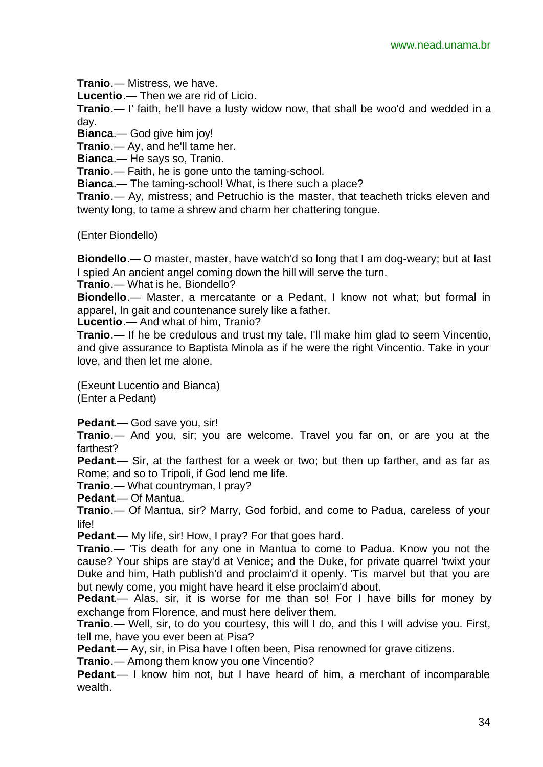**Tranio**.— Mistress, we have.

**Lucentio**.— Then we are rid of Licio.

**Tranio**.— I' faith, he'll have a lusty widow now, that shall be woo'd and wedded in a day.

**Bianca**.— God give him joy!

**Tranio**.— Ay, and he'll tame her.

**Bianca**.— He says so, Tranio.

**Tranio**.— Faith, he is gone unto the taming-school.

**Bianca**.— The taming-school! What, is there such a place?

**Tranio**.— Ay, mistress; and Petruchio is the master, that teacheth tricks eleven and twenty long, to tame a shrew and charm her chattering tongue.

(Enter Biondello)

**Biondello**.— O master, master, have watch'd so long that I am dog-weary; but at last I spied An ancient angel coming down the hill will serve the turn.

**Tranio**.— What is he, Biondello?

**Biondello**.— Master, a mercatante or a Pedant, I know not what; but formal in apparel, In gait and countenance surely like a father.

**Lucentio**.— And what of him, Tranio?

**Tranio**.— If he be credulous and trust my tale, I'll make him glad to seem Vincentio, and give assurance to Baptista Minola as if he were the right Vincentio. Take in your love, and then let me alone.

(Exeunt Lucentio and Bianca)

(Enter a Pedant)

**Pedant**.— God save you, sir!

**Tranio**.— And you, sir; you are welcome. Travel you far on, or are you at the farthest?

**Pedant**.— Sir, at the farthest for a week or two; but then up farther, and as far as Rome; and so to Tripoli, if God lend me life.

**Tranio**.— What countryman, I pray?

**Pedant**.— Of Mantua.

**Tranio**.— Of Mantua, sir? Marry, God forbid, and come to Padua, careless of your life!

**Pedant**.— My life, sir! How, I pray? For that goes hard.

**Tranio**.— 'Tis death for any one in Mantua to come to Padua. Know you not the cause? Your ships are stay'd at Venice; and the Duke, for private quarrel 'twixt your Duke and him, Hath publish'd and proclaim'd it openly. 'Tis marvel but that you are but newly come, you might have heard it else proclaim'd about.

**Pedant**.— Alas, sir, it is worse for me than so! For I have bills for money by exchange from Florence, and must here deliver them.

**Tranio**.— Well, sir, to do you courtesy, this will I do, and this I will advise you. First, tell me, have you ever been at Pisa?

**Pedant**.— Ay, sir, in Pisa have I often been, Pisa renowned for grave citizens.

**Tranio**.— Among them know you one Vincentio?

**Pedant**.— I know him not, but I have heard of him, a merchant of incomparable wealth.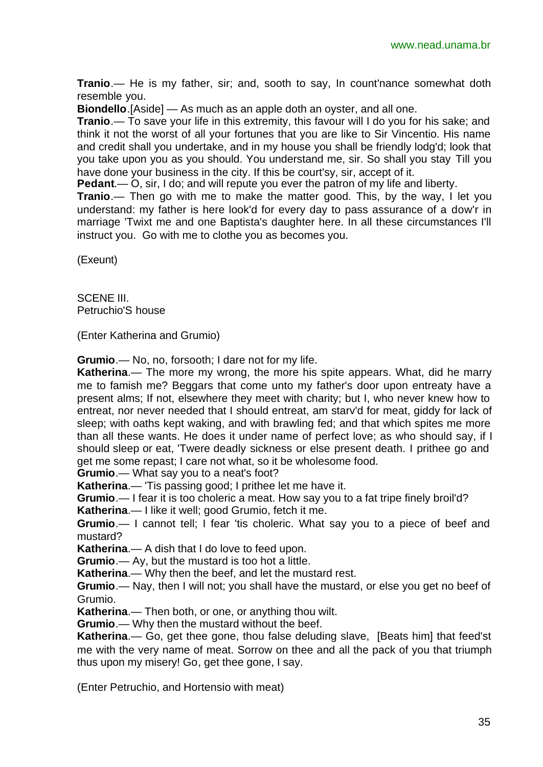**Tranio**.— He is my father, sir; and, sooth to say, In count'nance somewhat doth resemble you.

**Biondello**.[Aside] — As much as an apple doth an oyster, and all one.

**Tranio**.— To save your life in this extremity, this favour will I do you for his sake; and think it not the worst of all your fortunes that you are like to Sir Vincentio. His name and credit shall you undertake, and in my house you shall be friendly lodg'd; look that you take upon you as you should. You understand me, sir. So shall you stay Till you have done your business in the city. If this be court'sy, sir, accept of it.

**Pedant**.— O, sir, I do; and will repute you ever the patron of my life and liberty.

**Tranio**.— Then go with me to make the matter good. This, by the way, I let you understand: my father is here look'd for every day to pass assurance of a dow'r in marriage 'Twixt me and one Baptista's daughter here. In all these circumstances I'll instruct you. Go with me to clothe you as becomes you.

(Exeunt)

SCENE III. Petruchio'S house

(Enter Katherina and Grumio)

**Grumio**.— No, no, forsooth; I dare not for my life.

**Katherina**.— The more my wrong, the more his spite appears. What, did he marry me to famish me? Beggars that come unto my father's door upon entreaty have a present alms; If not, elsewhere they meet with charity; but I, who never knew how to entreat, nor never needed that I should entreat, am starv'd for meat, giddy for lack of sleep; with oaths kept waking, and with brawling fed; and that which spites me more than all these wants. He does it under name of perfect love; as who should say, if I should sleep or eat, 'Twere deadly sickness or else present death. I prithee go and get me some repast; I care not what, so it be wholesome food.

**Grumio**.— What say you to a neat's foot?

**Katherina**.— 'Tis passing good; I prithee let me have it.

**Grumio**.— I fear it is too choleric a meat. How say you to a fat tripe finely broil'd?

**Katherina**.— I like it well; good Grumio, fetch it me.

**Grumio**.— I cannot tell; I fear 'tis choleric. What say you to a piece of beef and mustard?

**Katherina**.— A dish that I do love to feed upon.

**Grumio**.— Ay, but the mustard is too hot a little.

**Katherina**.— Why then the beef, and let the mustard rest.

**Grumio**.— Nay, then I will not; you shall have the mustard, or else you get no beef of Grumio.

**Katherina**.— Then both, or one, or anything thou wilt.

**Grumio**.— Why then the mustard without the beef.

**Katherina**.— Go, get thee gone, thou false deluding slave, [Beats him] that feed'st me with the very name of meat. Sorrow on thee and all the pack of you that triumph thus upon my misery! Go, get thee gone, I say.

(Enter Petruchio, and Hortensio with meat)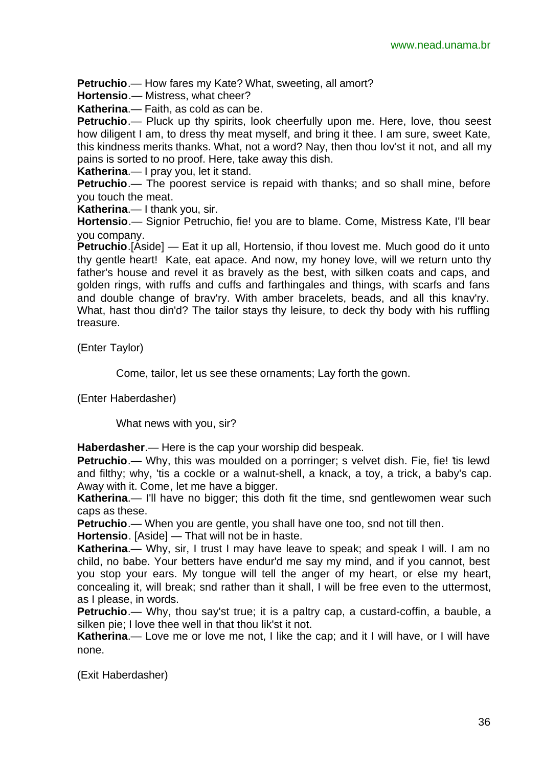**Petruchio**.— How fares my Kate? What, sweeting, all amort?

**Hortensio**.— Mistress, what cheer?

**Katherina**.— Faith, as cold as can be.

**Petruchio**.— Pluck up thy spirits, look cheerfully upon me. Here, love, thou seest how diligent I am, to dress thy meat myself, and bring it thee. I am sure, sweet Kate, this kindness merits thanks. What, not a word? Nay, then thou lov'st it not, and all my pains is sorted to no proof. Here, take away this dish.

**Katherina**.— I pray you, let it stand.

**Petruchio**.— The poorest service is repaid with thanks; and so shall mine, before you touch the meat.

**Katherina**.— I thank you, sir.

**Hortensio**.— Signior Petruchio, fie! you are to blame. Come, Mistress Kate, I'll bear you company.

**Petruchio**.[Aside] — Eat it up all, Hortensio, if thou lovest me. Much good do it unto thy gentle heart! Kate, eat apace. And now, my honey love, will we return unto thy father's house and revel it as bravely as the best, with silken coats and caps, and golden rings, with ruffs and cuffs and farthingales and things, with scarfs and fans and double change of brav'ry. With amber bracelets, beads, and all this knav'ry. What, hast thou din'd? The tailor stays thy leisure, to deck thy body with his ruffling treasure.

(Enter Taylor)

Come, tailor, let us see these ornaments; Lay forth the gown.

(Enter Haberdasher)

What news with you, sir?

**Haberdasher**.— Here is the cap your worship did bespeak.

**Petruchio**.— Why, this was moulded on a porringer; s velvet dish. Fie, fie! tis lewd and filthy; why, 'tis a cockle or a walnut-shell, a knack, a toy, a trick, a baby's cap. Away with it. Come, let me have a bigger.

**Katherina.**— I'll have no bigger; this doth fit the time, snd gentlewomen wear such caps as these.

**Petruchio**.— When you are gentle, you shall have one too, snd not till then.

**Hortensio**. [Aside] — That will not be in haste.

**Katherina**.— Why, sir, I trust I may have leave to speak; and speak I will. I am no child, no babe. Your betters have endur'd me say my mind, and if you cannot, best you stop your ears. My tongue will tell the anger of my heart, or else my heart, concealing it, will break; snd rather than it shall, I will be free even to the uttermost, as I please, in words.

**Petruchio**.— Why, thou say'st true; it is a paltry cap, a custard-coffin, a bauble, a silken pie; I love thee well in that thou lik'st it not.

**Katherina**.— Love me or love me not, I like the cap; and it I will have, or I will have none.

(Exit Haberdasher)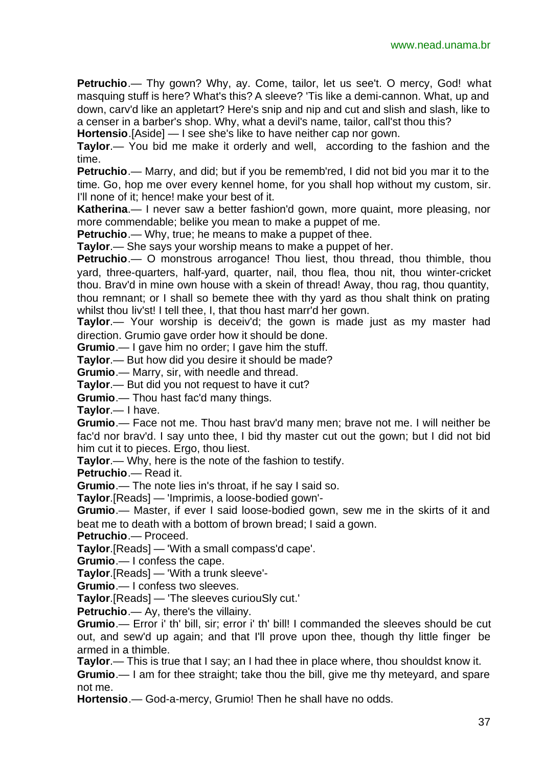**Petruchio**.— Thy gown? Why, ay. Come, tailor, let us see't. O mercy, God! what masquing stuff is here? What's this? A sleeve? 'Tis like a demi-cannon. What, up and down, carv'd like an appletart? Here's snip and nip and cut and slish and slash, like to a censer in a barber's shop. Why, what a devil's name, tailor, call'st thou this?

**Hortensio**.[Aside] — I see she's like to have neither cap nor gown.

**Taylor**.— You bid me make it orderly and well, according to the fashion and the time.

**Petruchio**.— Marry, and did; but if you be rememb'red, I did not bid you mar it to the time. Go, hop me over every kennel home, for you shall hop without my custom, sir. I'll none of it; hence! make your best of it.

**Katherina**.— I never saw a better fashion'd gown, more quaint, more pleasing, nor more commendable; belike you mean to make a puppet of me.

**Petruchio**.— Why, true; he means to make a puppet of thee.

**Taylor**.— She says your worship means to make a puppet of her.

**Petruchio**.— O monstrous arrogance! Thou liest, thou thread, thou thimble, thou yard, three-quarters, half-yard, quarter, nail, thou flea, thou nit, thou winter-cricket thou. Brav'd in mine own house with a skein of thread! Away, thou rag, thou quantity, thou remnant; or I shall so bemete thee with thy yard as thou shalt think on prating whilst thou liv'st! I tell thee, I, that thou hast marr'd her gown.

**Taylor**.— Your worship is deceiv'd; the gown is made just as my master had direction. Grumio gave order how it should be done.

**Grumio**.— I gave him no order; I gave him the stuff.

**Taylor**.— But how did you desire it should be made?

**Grumio**.— Marry, sir, with needle and thread.

**Taylor**.— But did you not request to have it cut?

**Grumio**.— Thou hast fac'd many things.

**Taylor**.— I have.

**Grumio**.— Face not me. Thou hast brav'd many men; brave not me. I will neither be fac'd nor brav'd. I say unto thee, I bid thy master cut out the gown; but I did not bid him cut it to pieces. Ergo, thou liest.

**Taylor**.— Why, here is the note of the fashion to testify.

**Petruchio**.— Read it.

**Grumio**.— The note lies in's throat, if he say I said so.

**Taylor**.[Reads] — 'Imprimis, a loose-bodied gown'-

**Grumio**.— Master, if ever I said loose-bodied gown, sew me in the skirts of it and beat me to death with a bottom of brown bread; I said a gown.

**Petruchio**.— Proceed.

**Taylor**.[Reads] — 'With a small compass'd cape'.

**Grumio**.— I confess the cape.

**Taylor**.[Reads] — 'With a trunk sleeve'-

**Grumio**.— I confess two sleeves.

**Taylor**.[Reads] — 'The sleeves curiouSly cut.'

**Petruchio**.— Ay, there's the villainy.

**Grumio**.— Error i' th' bill, sir; error i' th' bill! I commanded the sleeves should be cut out, and sew'd up again; and that I'll prove upon thee, though thy little finger be armed in a thimble.

**Taylor**.— This is true that I say; an I had thee in place where, thou shouldst know it.

**Grumio**.— I am for thee straight; take thou the bill, give me thy meteyard, and spare not me.

**Hortensio**.— God-a-mercy, Grumio! Then he shall have no odds.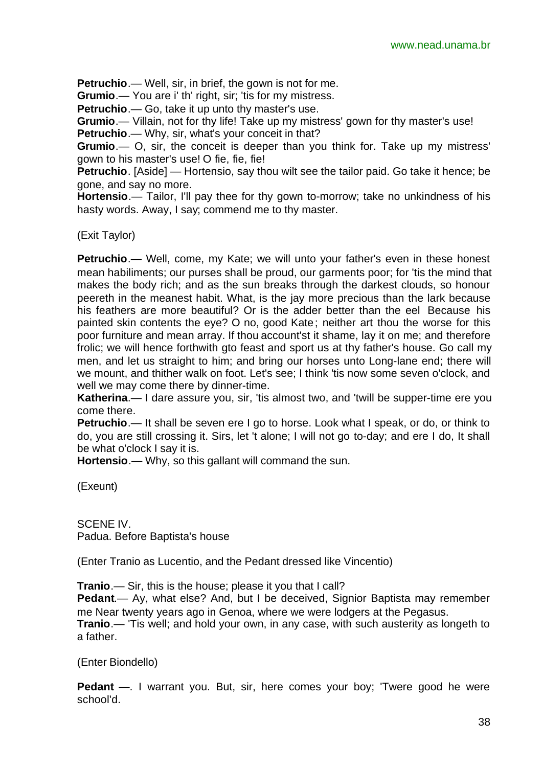**Petruchio**.— Well, sir, in brief, the gown is not for me.

**Grumio**.— You are i' th' right, sir; 'tis for my mistress.

**Petruchio**.— Go, take it up unto thy master's use.

**Grumio**.— Villain, not for thy life! Take up my mistress' gown for thy master's use! **Petruchio**.— Why, sir, what's your conceit in that?

**Grumio**.— O, sir, the conceit is deeper than you think for. Take up my mistress' gown to his master's use! O fie, fie, fie!

**Petruchio**. [Aside] — Hortensio, say thou wilt see the tailor paid. Go take it hence; be gone, and say no more.

**Hortensio**.— Tailor, I'll pay thee for thy gown to-morrow; take no unkindness of his hasty words. Away, I say; commend me to thy master.

(Exit Taylor)

**Petruchio**.— Well, come, my Kate; we will unto your father's even in these honest mean habiliments; our purses shall be proud, our garments poor; for 'tis the mind that makes the body rich; and as the sun breaks through the darkest clouds, so honour peereth in the meanest habit. What, is the jay more precious than the lark because his feathers are more beautiful? Or is the adder better than the eel Because his painted skin contents the eye? O no, good Kate; neither art thou the worse for this poor furniture and mean array. If thou account'st it shame, lay it on me; and therefore frolic; we will hence forthwith gto feast and sport us at thy father's house. Go call my men, and let us straight to him; and bring our horses unto Long-lane end; there will we mount, and thither walk on foot. Let's see; I think 'tis now some seven o'clock, and well we may come there by dinner-time.

**Katherina.**— I dare assure you, sir, 'tis almost two, and 'twill be supper-time ere you come there.

**Petruchio**.— It shall be seven ere I go to horse. Look what I speak, or do, or think to do, you are still crossing it. Sirs, let 't alone; I will not go to-day; and ere I do, It shall be what o'clock I say it is.

**Hortensio**.— Why, so this gallant will command the sun.

(Exeunt)

SCENE IV. Padua. Before Baptista's house

(Enter Tranio as Lucentio, and the Pedant dressed like Vincentio)

**Tranio.**— Sir, this is the house; please it you that I call?

**Pedant**.— Ay, what else? And, but I be deceived, Signior Baptista may remember me Near twenty years ago in Genoa, where we were lodgers at the Pegasus.

**Tranio**.— 'Tis well; and hold your own, in any case, with such austerity as longeth to a father.

(Enter Biondello)

**Pedant** —. I warrant you. But, sir, here comes your boy; 'Twere good he were school'd.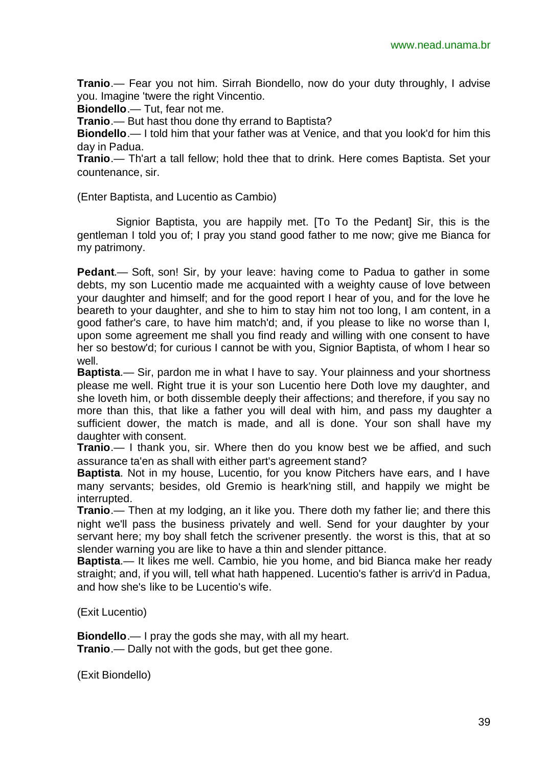**Tranio**.— Fear you not him. Sirrah Biondello, now do your duty throughly, I advise you. Imagine 'twere the right Vincentio.

**Biondello**.— Tut, fear not me.

**Tranio**.— But hast thou done thy errand to Baptista?

**Biondello**.— I told him that your father was at Venice, and that you look'd for him this day in Padua.

**Tranio**.— Th'art a tall fellow; hold thee that to drink. Here comes Baptista. Set your countenance, sir.

(Enter Baptista, and Lucentio as Cambio)

Signior Baptista, you are happily met. [To To the Pedant] Sir, this is the gentleman I told you of; I pray you stand good father to me now; give me Bianca for my patrimony.

**Pedant**.— Soft, son! Sir, by your leave: having come to Padua to gather in some debts, my son Lucentio made me acquainted with a weighty cause of love between your daughter and himself; and for the good report I hear of you, and for the love he beareth to your daughter, and she to him to stay him not too long, I am content, in a good father's care, to have him match'd; and, if you please to like no worse than I, upon some agreement me shall you find ready and willing with one consent to have her so bestow'd; for curious I cannot be with you, Signior Baptista, of whom I hear so well.

**Baptista**.— Sir, pardon me in what I have to say. Your plainness and your shortness please me well. Right true it is your son Lucentio here Doth love my daughter, and she loveth him, or both dissemble deeply their affections; and therefore, if you say no more than this, that like a father you will deal with him, and pass my daughter a sufficient dower, the match is made, and all is done. Your son shall have my daughter with consent.

**Tranio**.— I thank you, sir. Where then do you know best we be affied, and such assurance ta'en as shall with either part's agreement stand?

**Baptista**. Not in my house, Lucentio, for you know Pitchers have ears, and I have many servants; besides, old Gremio is heark'ning still, and happily we might be interrupted.

**Tranio**.— Then at my lodging, an it like you. There doth my father lie; and there this night we'll pass the business privately and well. Send for your daughter by your servant here; my boy shall fetch the scrivener presently. the worst is this, that at so slender warning you are like to have a thin and slender pittance.

**Baptista**.— It likes me well. Cambio, hie you home, and bid Bianca make her ready straight; and, if you will, tell what hath happened. Lucentio's father is arriv'd in Padua, and how she's like to be Lucentio's wife.

(Exit Lucentio)

**Biondello**.— I pray the gods she may, with all my heart. **Tranio**.— Dally not with the gods, but get thee gone.

(Exit Biondello)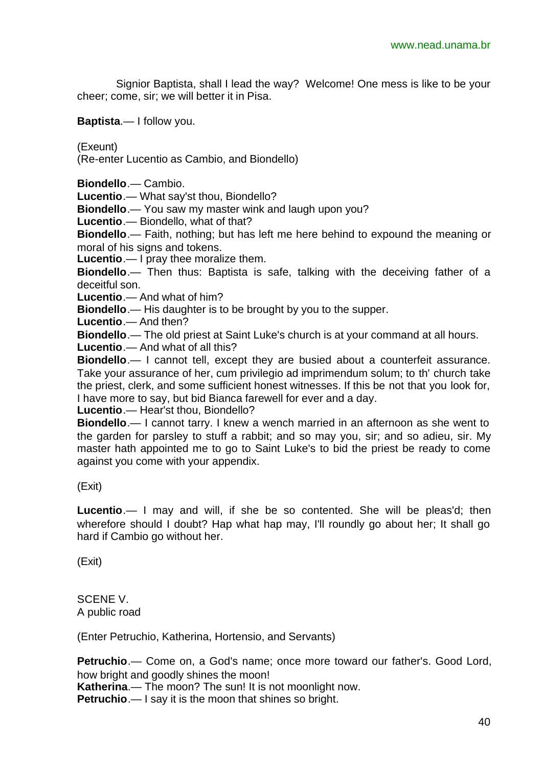Signior Baptista, shall I lead the way? Welcome! One mess is like to be your cheer; come, sir; we will better it in Pisa.

**Baptista**.— I follow you.

(Exeunt)

(Re-enter Lucentio as Cambio, and Biondello)

**Biondello**.— Cambio.

**Lucentio**.— What say'st thou, Biondello?

**Biondello**.— You saw my master wink and laugh upon you?

**Lucentio**.— Biondello, what of that?

**Biondello**.— Faith, nothing; but has left me here behind to expound the meaning or moral of his signs and tokens.

**Lucentio**.— I pray thee moralize them.

**Biondello**.— Then thus: Baptista is safe, talking with the deceiving father of a deceitful son.

**Lucentio**.— And what of him?

**Biondello**.— His daughter is to be brought by you to the supper.

**Lucentio**.— And then?

**Biondello**.— The old priest at Saint Luke's church is at your command at all hours.

**Lucentio**.— And what of all this?

**Biondello**.— I cannot tell, except they are busied about a counterfeit assurance. Take your assurance of her, cum privilegio ad imprimendum solum; to th' church take the priest, clerk, and some sufficient honest witnesses. If this be not that you look for, I have more to say, but bid Bianca farewell for ever and a day.

**Lucentio**.— Hear'st thou, Biondello?

**Biondello**.— I cannot tarry. I knew a wench married in an afternoon as she went to the garden for parsley to stuff a rabbit; and so may you, sir; and so adieu, sir. My master hath appointed me to go to Saint Luke's to bid the priest be ready to come against you come with your appendix.

(Exit)

**Lucentio**.— I may and will, if she be so contented. She will be pleas'd; then wherefore should I doubt? Hap what hap may, I'll roundly go about her; It shall go hard if Cambio go without her.

(Exit)

SCENE V. A public road

(Enter Petruchio, Katherina, Hortensio, and Servants)

**Petruchio**.— Come on, a God's name; once more toward our father's. Good Lord, how bright and goodly shines the moon!

**Katherina.**— The moon? The sun! It is not moonlight now. **Petruchio**.— I say it is the moon that shines so bright.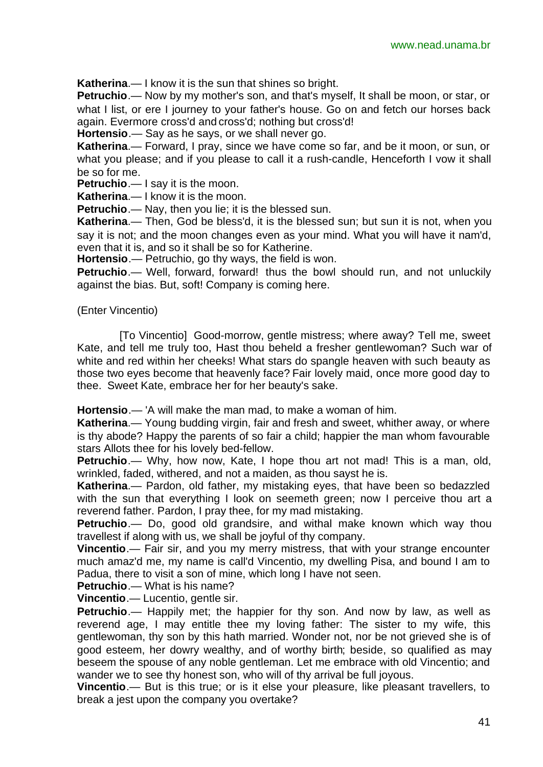**Katherina**.— I know it is the sun that shines so bright.

**Petruchio**.— Now by my mother's son, and that's myself, It shall be moon, or star, or what I list, or ere I journey to your father's house. Go on and fetch our horses back again. Evermore cross'd and cross'd; nothing but cross'd!

**Hortensio**.— Say as he says, or we shall never go.

**Katherina**.— Forward, I pray, since we have come so far, and be it moon, or sun, or what you please; and if you please to call it a rush-candle, Henceforth I vow it shall be so for me.

**Petruchio**.— I say it is the moon.

**Katherina**.— I know it is the moon.

**Petruchio**.— Nay, then you lie; it is the blessed sun.

**Katherina**.— Then, God be bless'd, it is the blessed sun; but sun it is not, when you say it is not; and the moon changes even as your mind. What you will have it nam'd, even that it is, and so it shall be so for Katherine.

**Hortensio**.— Petruchio, go thy ways, the field is won.

**Petruchio**.— Well, forward, forward! thus the bowl should run, and not unluckily against the bias. But, soft! Company is coming here.

(Enter Vincentio)

 [To Vincentio] Good-morrow, gentle mistress; where away? Tell me, sweet Kate, and tell me truly too, Hast thou beheld a fresher gentlewoman? Such war of white and red within her cheeks! What stars do spangle heaven with such beauty as those two eyes become that heavenly face? Fair lovely maid, once more good day to thee. Sweet Kate, embrace her for her beauty's sake.

**Hortensio**.— 'A will make the man mad, to make a woman of him.

**Katherina**.— Young budding virgin, fair and fresh and sweet, whither away, or where is thy abode? Happy the parents of so fair a child; happier the man whom favourable stars Allots thee for his lovely bed-fellow.

**Petruchio.**— Why, how now, Kate, I hope thou art not mad! This is a man, old, wrinkled, faded, withered, and not a maiden, as thou sayst he is.

**Katherina**.— Pardon, old father, my mistaking eyes, that have been so bedazzled with the sun that everything I look on seemeth green; now I perceive thou art a reverend father. Pardon, I pray thee, for my mad mistaking.

**Petruchio**.— Do, good old grandsire, and withal make known which way thou travellest if along with us, we shall be joyful of thy company.

**Vincentio**.— Fair sir, and you my merry mistress, that with your strange encounter much amaz'd me, my name is call'd Vincentio, my dwelling Pisa, and bound I am to Padua, there to visit a son of mine, which long I have not seen.

**Petruchio**.— What is his name?

**Vincentio**.— Lucentio, gentle sir.

**Petruchio**.— Happily met; the happier for thy son. And now by law, as well as reverend age, I may entitle thee my loving father: The sister to my wife, this gentlewoman, thy son by this hath married. Wonder not, nor be not grieved she is of good esteem, her dowry wealthy, and of worthy birth; beside, so qualified as may beseem the spouse of any noble gentleman. Let me embrace with old Vincentio; and wander we to see thy honest son, who will of thy arrival be full joyous.

**Vincentio**.— But is this true; or is it else your pleasure, like pleasant travellers, to break a jest upon the company you overtake?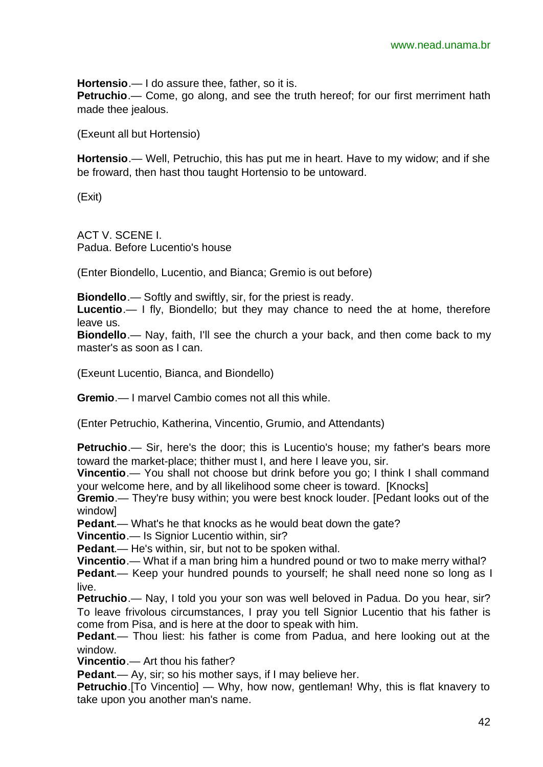**Hortensio**.— I do assure thee, father, so it is. **Petruchio**.— Come, go along, and see the truth hereof; for our first merriment hath made thee jealous.

(Exeunt all but Hortensio)

**Hortensio**.— Well, Petruchio, this has put me in heart. Have to my widow; and if she be froward, then hast thou taught Hortensio to be untoward.

(Exit)

ACT V. SCENE I. Padua. Before Lucentio's house

(Enter Biondello, Lucentio, and Bianca; Gremio is out before)

**Biondello**.— Softly and swiftly, sir, for the priest is ready.

**Lucentio**.— I fly, Biondello; but they may chance to need the at home, therefore leave us.

**Biondello**.— Nay, faith, I'll see the church a your back, and then come back to my master's as soon as I can.

(Exeunt Lucentio, Bianca, and Biondello)

**Gremio**.— I marvel Cambio comes not all this while.

(Enter Petruchio, Katherina, Vincentio, Grumio, and Attendants)

**Petruchio**.— Sir, here's the door; this is Lucentio's house; my father's bears more toward the market-place; thither must I, and here I leave you, sir.

**Vincentio**.— You shall not choose but drink before you go; I think I shall command your welcome here, and by all likelihood some cheer is toward. [Knocks]

**Gremio**.— They're busy within; you were best knock louder. [Pedant looks out of the window]

**Pedant**.— What's he that knocks as he would beat down the gate?

**Vincentio**.— Is Signior Lucentio within, sir?

**Pedant**.— He's within, sir, but not to be spoken withal.

**Vincentio**.— What if a man bring him a hundred pound or two to make merry withal?

**Pedant.**— Keep your hundred pounds to yourself; he shall need none so long as I live.

**Petruchio**.— Nay, I told you your son was well beloved in Padua. Do you hear, sir? To leave frivolous circumstances, I pray you tell Signior Lucentio that his father is come from Pisa, and is here at the door to speak with him.

**Pedant**.— Thou liest: his father is come from Padua, and here looking out at the window.

**Vincentio**.— Art thou his father?

**Pedant**.— Ay, sir; so his mother says, if I may believe her.

**Petruchio**.[To Vincentio] — Why, how now, gentleman! Why, this is flat knavery to take upon you another man's name.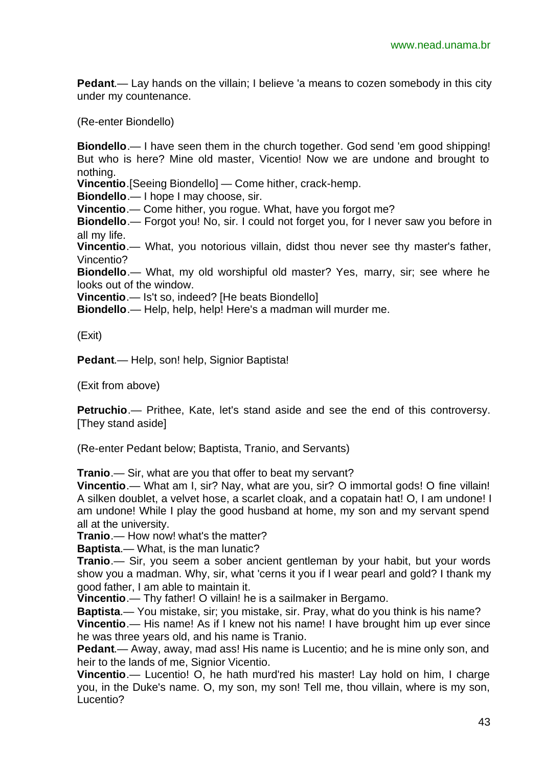**Pedant**.— Lay hands on the villain; I believe 'a means to cozen somebody in this city under my countenance.

(Re-enter Biondello)

**Biondello**.— I have seen them in the church together. God send 'em good shipping! But who is here? Mine old master, Vicentio! Now we are undone and brought to nothing.

**Vincentio**.[Seeing Biondello] — Come hither, crack-hemp.

**Biondello**.— I hope I may choose, sir.

**Vincentio**.— Come hither, you rogue. What, have you forgot me?

**Biondello**.— Forgot you! No, sir. I could not forget you, for I never saw you before in all my life.

**Vincentio**.— What, you notorious villain, didst thou never see thy master's father, Vincentio?

**Biondello**.— What, my old worshipful old master? Yes, marry, sir; see where he looks out of the window.

**Vincentio**.— Is't so, indeed? [He beats Biondello]

**Biondello**.— Help, help, help! Here's a madman will murder me.

(Exit)

**Pedant**.— Help, son! help, Signior Baptista!

(Exit from above)

**Petruchio**.— Prithee, Kate, let's stand aside and see the end of this controversy. [They stand aside]

(Re-enter Pedant below; Baptista, Tranio, and Servants)

**Tranio**.— Sir, what are you that offer to beat my servant?

**Vincentio**.— What am I, sir? Nay, what are you, sir? O immortal gods! O fine villain! A silken doublet, a velvet hose, a scarlet cloak, and a copatain hat! O, I am undone! I am undone! While I play the good husband at home, my son and my servant spend all at the university.

**Tranio**.— How now! what's the matter?

**Baptista**.— What, is the man lunatic?

**Tranio**.— Sir, you seem a sober ancient gentleman by your habit, but your words show you a madman. Why, sir, what 'cerns it you if I wear pearl and gold? I thank my good father, I am able to maintain it.

**Vincentio**.— Thy father! O villain! he is a sailmaker in Bergamo.

**Baptista**.— You mistake, sir; you mistake, sir. Pray, what do you think is his name?

**Vincentio**.— His name! As if I knew not his name! I have brought him up ever since he was three years old, and his name is Tranio.

**Pedant**.— Away, away, mad ass! His name is Lucentio; and he is mine only son, and heir to the lands of me, Signior Vicentio.

**Vincentio**.— Lucentio! O, he hath murd'red his master! Lay hold on him, I charge you, in the Duke's name. O, my son, my son! Tell me, thou villain, where is my son, Lucentio?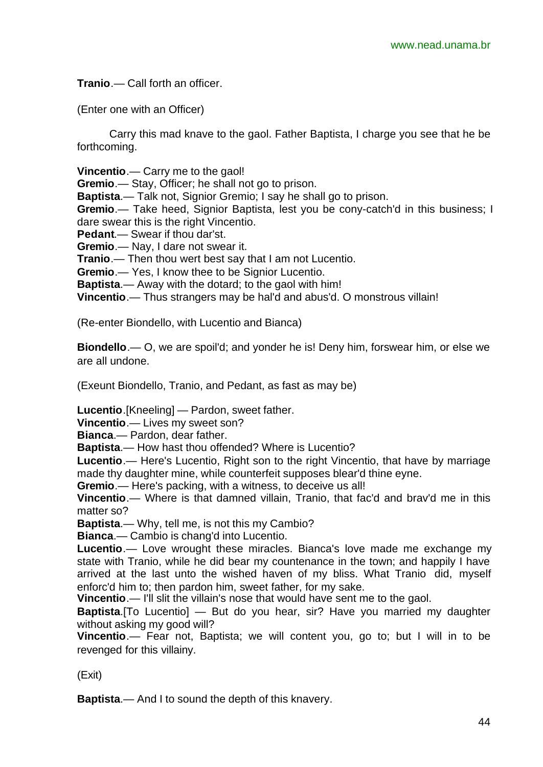**Tranio**.— Call forth an officer.

(Enter one with an Officer)

Carry this mad knave to the gaol. Father Baptista, I charge you see that he be forthcoming.

**Vincentio**.— Carry me to the gaol!

**Gremio**.— Stay, Officer; he shall not go to prison.

**Baptista**.— Talk not, Signior Gremio; I say he shall go to prison.

**Gremio**.— Take heed, Signior Baptista, lest you be cony-catch'd in this business; I dare swear this is the right Vincentio.

**Pedant**.— Swear if thou dar'st.

**Gremio**.— Nay, I dare not swear it.

**Tranio**.— Then thou wert best say that I am not Lucentio.

**Gremio**.— Yes, I know thee to be Signior Lucentio.

**Baptista**.— Away with the dotard; to the gaol with him!

**Vincentio**.— Thus strangers may be hal'd and abus'd. O monstrous villain!

(Re-enter Biondello, with Lucentio and Bianca)

**Biondello**.— O, we are spoil'd; and yonder he is! Deny him, forswear him, or else we are all undone.

(Exeunt Biondello, Tranio, and Pedant, as fast as may be)

**Lucentio**.[Kneeling] — Pardon, sweet father.

**Vincentio**.— Lives my sweet son?

**Bianca**.— Pardon, dear father.

**Baptista**.— How hast thou offended? Where is Lucentio?

**Lucentio**.— Here's Lucentio, Right son to the right Vincentio, that have by marriage made thy daughter mine, while counterfeit supposes blear'd thine eyne.

**Gremio**.— Here's packing, with a witness, to deceive us all!

**Vincentio**.— Where is that damned villain, Tranio, that fac'd and brav'd me in this matter so?

**Baptista**.— Why, tell me, is not this my Cambio?

**Bianca**.— Cambio is chang'd into Lucentio.

**Lucentio**.— Love wrought these miracles. Bianca's love made me exchange my state with Tranio, while he did bear my countenance in the town; and happily I have arrived at the last unto the wished haven of my bliss. What Tranio did, myself enforc'd him to; then pardon him, sweet father, for my sake.

**Vincentio.**— I'll slit the villain's nose that would have sent me to the gaol.

**Baptista**.[To Lucentio] — But do you hear, sir? Have you married my daughter without asking my good will?

**Vincentio**.— Fear not, Baptista; we will content you, go to; but I will in to be revenged for this villainy.

(Exit)

**Baptista**.— And I to sound the depth of this knavery.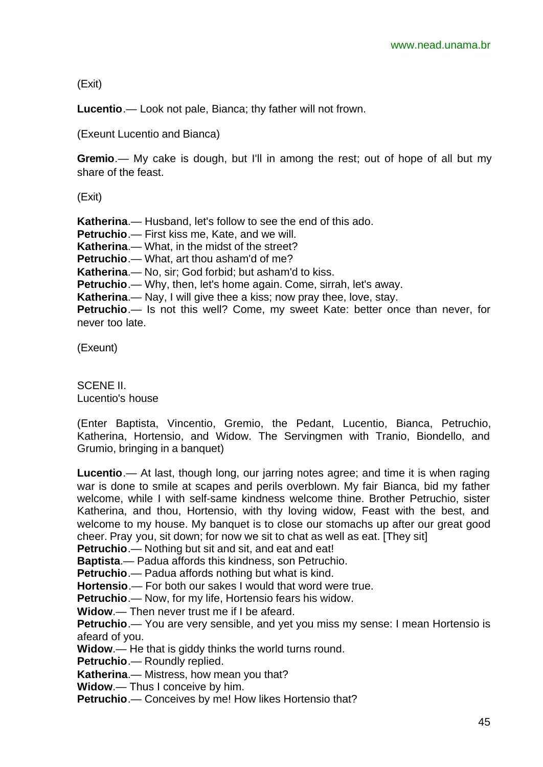(Exit)

**Lucentio**.— Look not pale, Bianca; thy father will not frown.

(Exeunt Lucentio and Bianca)

**Gremio**.— My cake is dough, but I'll in among the rest; out of hope of all but my share of the feast.

(Exit)

**Katherina**.— Husband, let's follow to see the end of this ado.

**Petruchio**.— First kiss me, Kate, and we will.

**Katherina**.— What, in the midst of the street?

**Petruchio**.— What, art thou asham'd of me?

**Katherina**.— No, sir; God forbid; but asham'd to kiss.

**Petruchio**.— Why, then, let's home again. Come, sirrah, let's away.

**Katherina**.— Nay, I will give thee a kiss; now pray thee, love, stay.

**Petruchio**.— Is not this well? Come, my sweet Kate: better once than never, for never too late.

(Exeunt)

SCENE II. Lucentio's house

(Enter Baptista, Vincentio, Gremio, the Pedant, Lucentio, Bianca, Petruchio, Katherina, Hortensio, and Widow. The Servingmen with Tranio, Biondello, and Grumio, bringing in a banquet)

**Lucentio**.— At last, though long, our jarring notes agree; and time it is when raging war is done to smile at scapes and perils overblown. My fair Bianca, bid my father welcome, while I with self-same kindness welcome thine. Brother Petruchio, sister Katherina, and thou, Hortensio, with thy loving widow, Feast with the best, and welcome to my house. My banquet is to close our stomachs up after our great good cheer. Pray you, sit down; for now we sit to chat as well as eat. [They sit]

Petruchio.— Nothing but sit and sit, and eat and eat!

**Baptista**.— Padua affords this kindness, son Petruchio.

**Petruchio**.— Padua affords nothing but what is kind.

**Hortensio**.— For both our sakes I would that word were true.

**Petruchio**.— Now, for my life, Hortensio fears his widow.

**Widow**.— Then never trust me if I be afeard.

**Petruchio**.— You are very sensible, and yet you miss my sense: I mean Hortensio is afeard of you.

**Widow**.— He that is giddy thinks the world turns round.

**Petruchio**.— Roundly replied.

**Katherina**.— Mistress, how mean you that?

**Widow**.— Thus I conceive by him.

**Petruchio**.— Conceives by me! How likes Hortensio that?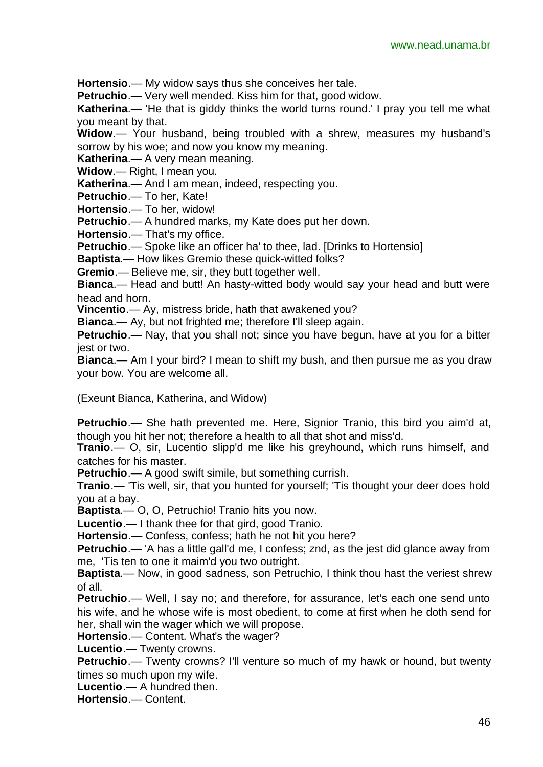**Hortensio**.— My widow says thus she conceives her tale.

**Petruchio.**— Very well mended. Kiss him for that, good widow.

**Katherina**.— 'He that is giddy thinks the world turns round.' I pray you tell me what you meant by that.

**Widow**.— Your husband, being troubled with a shrew, measures my husband's sorrow by his woe; and now you know my meaning.

**Katherina.**— A very mean meaning.

**Widow**.— Right, I mean you.

**Katherina**.— And I am mean, indeed, respecting you.

**Petruchio**.— To her, Kate!

**Hortensio**.— To her, widow!

**Petruchio**.— A hundred marks, my Kate does put her down.

**Hortensio**.— That's my office.

**Petruchio**.— Spoke like an officer ha' to thee, lad. [Drinks to Hortensio]

**Baptista**.— How likes Gremio these quick-witted folks?

**Gremio**.— Believe me, sir, they butt together well.

**Bianca**.— Head and butt! An hasty-witted body would say your head and butt were head and horn.

**Vincentio**.— Ay, mistress bride, hath that awakened you?

**Bianca**.— Ay, but not frighted me; therefore I'll sleep again.

**Petruchio**.— Nay, that you shall not; since you have begun, have at you for a bitter jest or two.

**Bianca**.— Am I your bird? I mean to shift my bush, and then pursue me as you draw your bow. You are welcome all.

(Exeunt Bianca, Katherina, and Widow)

**Petruchio**.— She hath prevented me. Here, Signior Tranio, this bird you aim'd at, though you hit her not; therefore a health to all that shot and miss'd.

**Tranio**.— O, sir, Lucentio slipp'd me like his greyhound, which runs himself, and catches for his master.

**Petruchio.**— A good swift simile, but something currish.

**Tranio**.— 'Tis well, sir, that you hunted for yourself; 'Tis thought your deer does hold you at a bay.

**Baptista**.— O, O, Petruchio! Tranio hits you now.

**Lucentio**.— I thank thee for that gird, good Tranio.

**Hortensio**.— Confess, confess; hath he not hit you here?

**Petruchio**.— 'A has a little gall'd me, I confess; znd, as the jest did glance away from me, 'Tis ten to one it maim'd you two outright.

**Baptista**.— Now, in good sadness, son Petruchio, I think thou hast the veriest shrew of all.

**Petruchio**.— Well, I say no; and therefore, for assurance, let's each one send unto his wife, and he whose wife is most obedient, to come at first when he doth send for her, shall win the wager which we will propose.

**Hortensio**.— Content. What's the wager?

**Lucentio**.— Twenty crowns.

**Petruchio**.— Twenty crowns? I'll venture so much of my hawk or hound, but twenty times so much upon my wife.

**Lucentio**.— A hundred then.

**Hortensio**.— Content.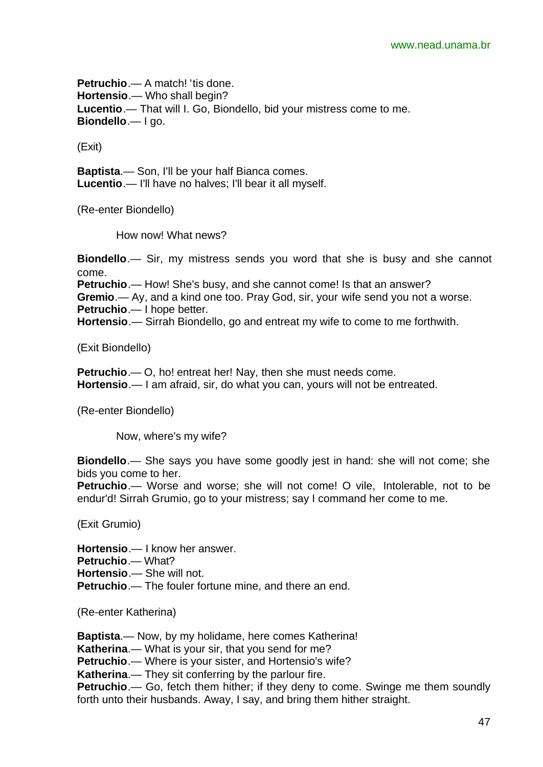**Petruchio.**— A match! 'tis done. **Hortensio**.— Who shall begin? **Lucentio**.— That will I. Go, Biondello, bid your mistress come to me. **Biondello**.— I go.

(Exit)

**Baptista**.— Son, I'll be your half Bianca comes. **Lucentio**.— I'll have no halves; I'll bear it all myself.

(Re-enter Biondello)

How now! What news?

**Biondello**.— Sir, my mistress sends you word that she is busy and she cannot come.

**Petruchio**.— How! She's busy, and she cannot come! Is that an answer?

**Gremio**.— Ay, and a kind one too. Pray God, sir, your wife send you not a worse.

**Petruchio**.— I hope better.

**Hortensio**.— Sirrah Biondello, go and entreat my wife to come to me forthwith.

(Exit Biondello)

**Petruchio**.— O, ho! entreat her! Nay, then she must needs come. **Hortensio**.— I am afraid, sir, do what you can, yours will not be entreated.

(Re-enter Biondello)

Now, where's my wife?

**Biondello**.— She says you have some goodly jest in hand: she will not come; she bids you come to her.

**Petruchio**.— Worse and worse; she will not come! O vile, Intolerable, not to be endur'd! Sirrah Grumio, go to your mistress; say I command her come to me.

(Exit Grumio)

**Hortensio**.— I know her answer. **Petruchio**.— What? **Hortensio**.— She will not. **Petruchio**.— The fouler fortune mine, and there an end.

(Re-enter Katherina)

**Baptista**.— Now, by my holidame, here comes Katherina! **Katherina**.— What is your sir, that you send for me? **Petruchio**.— Where is your sister, and Hortensio's wife? **Katherina**.— They sit conferring by the parlour fire. **Petruchio**.— Go, fetch them hither; if they deny to come. Swinge me them soundly forth unto their husbands. Away, I say, and bring them hither straight.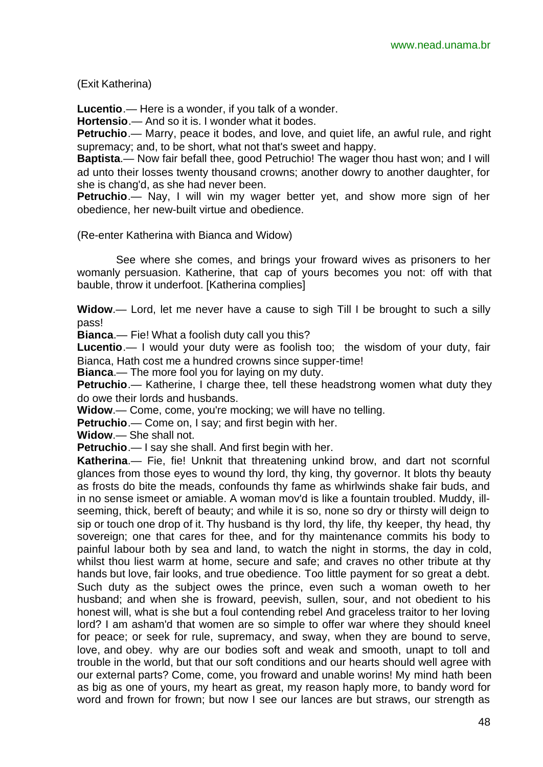(Exit Katherina)

**Lucentio**.— Here is a wonder, if you talk of a wonder.

**Hortensio**.— And so it is. I wonder what it bodes.

**Petruchio**.— Marry, peace it bodes, and love, and quiet life, an awful rule, and right supremacy; and, to be short, what not that's sweet and happy.

**Baptista**.— Now fair befall thee, good Petruchio! The wager thou hast won; and I will ad unto their losses twenty thousand crowns; another dowry to another daughter, for she is chang'd, as she had never been.

**Petruchio**.— Nay, I will win my wager better yet, and show more sign of her obedience, her new-built virtue and obedience.

(Re-enter Katherina with Bianca and Widow)

See where she comes, and brings your froward wives as prisoners to her womanly persuasion. Katherine, that cap of yours becomes you not: off with that bauble, throw it underfoot. [Katherina complies]

**Widow**.— Lord, let me never have a cause to sigh Till I be brought to such a silly pass!

**Bianca**.— Fie! What a foolish duty call you this?

**Lucentio**.— I would your duty were as foolish too; the wisdom of your duty, fair Bianca, Hath cost me a hundred crowns since supper-time!

**Bianca**.— The more fool you for laying on my duty.

**Petruchio**.— Katherine, I charge thee, tell these headstrong women what duty they do owe their lords and husbands.

**Widow**.— Come, come, you're mocking; we will have no telling.

**Petruchio**.— Come on, I say; and first begin with her.

**Widow**.— She shall not.

**Petruchio**.— I say she shall. And first begin with her.

**Katherina**.— Fie, fie! Unknit that threatening unkind brow, and dart not scornful glances from those eyes to wound thy lord, thy king, thy governor. It blots thy beauty as frosts do bite the meads, confounds thy fame as whirlwinds shake fair buds, and in no sense ismeet or amiable. A woman mov'd is like a fountain troubled. Muddy, illseeming, thick, bereft of beauty; and while it is so, none so dry or thirsty will deign to sip or touch one drop of it. Thy husband is thy lord, thy life, thy keeper, thy head, thy sovereign; one that cares for thee, and for thy maintenance commits his body to painful labour both by sea and land, to watch the night in storms, the day in cold, whilst thou liest warm at home, secure and safe; and craves no other tribute at thy hands but love, fair looks, and true obedience. Too little payment for so great a debt. Such duty as the subject owes the prince, even such a woman oweth to her husband; and when she is froward, peevish, sullen, sour, and not obedient to his honest will, what is she but a foul contending rebel And graceless traitor to her loving lord? I am asham'd that women are so simple to offer war where they should kneel for peace; or seek for rule, supremacy, and sway, when they are bound to serve, love, and obey. why are our bodies soft and weak and smooth, unapt to toll and trouble in the world, but that our soft conditions and our hearts should well agree with our external parts? Come, come, you froward and unable worins! My mind hath been as big as one of yours, my heart as great, my reason haply more, to bandy word for word and frown for frown; but now I see our lances are but straws, our strength as